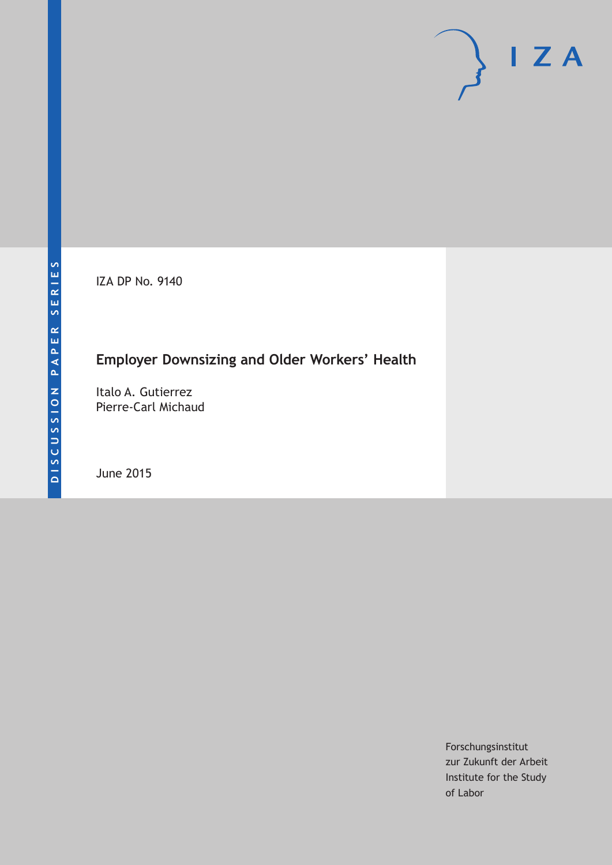IZA DP No. 9140

# **Employer Downsizing and Older Workers' Health**

Italo A. Gutierrez Pierre-Carl Michaud

June 2015

Forschungsinstitut zur Zukunft der Arbeit Institute for the Study of Labor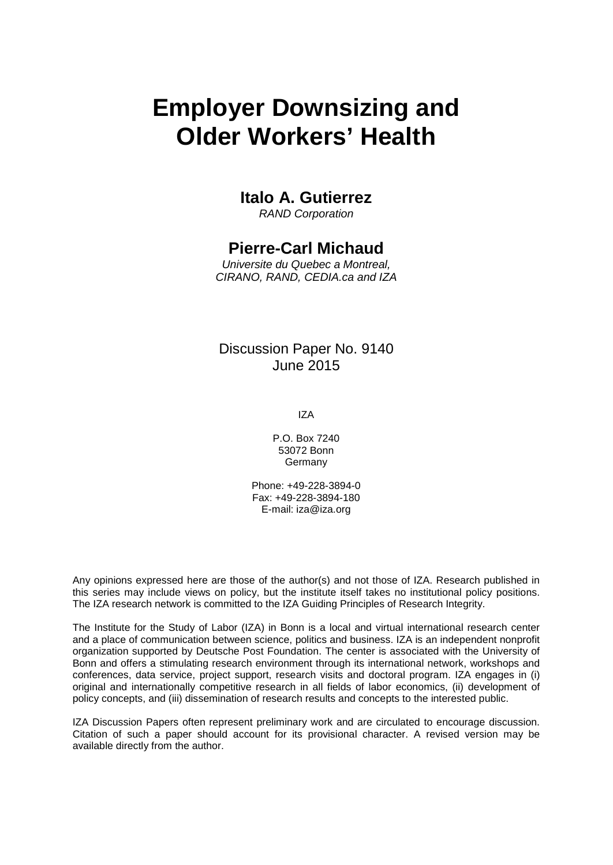# **Employer Downsizing and Older Workers' Health**

# **Italo A. Gutierrez**

*RAND Corporation*

# **Pierre-Carl Michaud**

*Universite du Quebec a Montreal, CIRANO, RAND, CEDIA.ca and IZA*

## Discussion Paper No. 9140 June 2015

IZA

P.O. Box 7240 53072 Bonn **Germany** 

Phone: +49-228-3894-0 Fax: +49-228-3894-180 E-mail: iza@iza.org

Any opinions expressed here are those of the author(s) and not those of IZA. Research published in this series may include views on policy, but the institute itself takes no institutional policy positions. The IZA research network is committed to the IZA Guiding Principles of Research Integrity.

The Institute for the Study of Labor (IZA) in Bonn is a local and virtual international research center and a place of communication between science, politics and business. IZA is an independent nonprofit organization supported by Deutsche Post Foundation. The center is associated with the University of Bonn and offers a stimulating research environment through its international network, workshops and conferences, data service, project support, research visits and doctoral program. IZA engages in (i) original and internationally competitive research in all fields of labor economics, (ii) development of policy concepts, and (iii) dissemination of research results and concepts to the interested public.

<span id="page-1-0"></span>IZA Discussion Papers often represent preliminary work and are circulated to encourage discussion. Citation of such a paper should account for its provisional character. A revised version may be available directly from the author.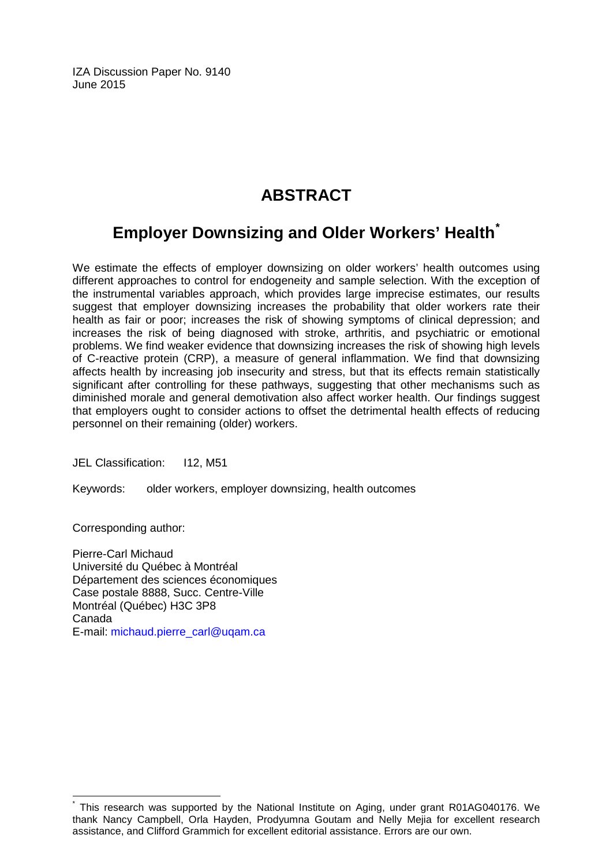IZA Discussion Paper No. 9140 June 2015

# **ABSTRACT**

# **Employer Downsizing and Older Workers' Health[\\*](#page-1-0)**

We estimate the effects of employer downsizing on older workers' health outcomes using different approaches to control for endogeneity and sample selection. With the exception of the instrumental variables approach, which provides large imprecise estimates, our results suggest that employer downsizing increases the probability that older workers rate their health as fair or poor; increases the risk of showing symptoms of clinical depression; and increases the risk of being diagnosed with stroke, arthritis, and psychiatric or emotional problems. We find weaker evidence that downsizing increases the risk of showing high levels of C-reactive protein (CRP), a measure of general inflammation. We find that downsizing affects health by increasing job insecurity and stress, but that its effects remain statistically significant after controlling for these pathways, suggesting that other mechanisms such as diminished morale and general demotivation also affect worker health. Our findings suggest that employers ought to consider actions to offset the detrimental health effects of reducing personnel on their remaining (older) workers.

JEL Classification: I12, M51

Keywords: older workers, employer downsizing, health outcomes

Corresponding author:

Pierre-Carl Michaud Université du Québec à Montréal Département des sciences économiques Case postale 8888, Succ. Centre-Ville Montréal (Québec) H3C 3P8 Canada E-mail: [michaud.pierre\\_carl@uqam.ca](mailto:michaud.pierre_carl@uqam.ca)

This research was supported by the National Institute on Aging, under grant R01AG040176. We thank Nancy Campbell, Orla Hayden, Prodyumna Goutam and Nelly Mejia for excellent research assistance, and Clifford Grammich for excellent editorial assistance. Errors are our own.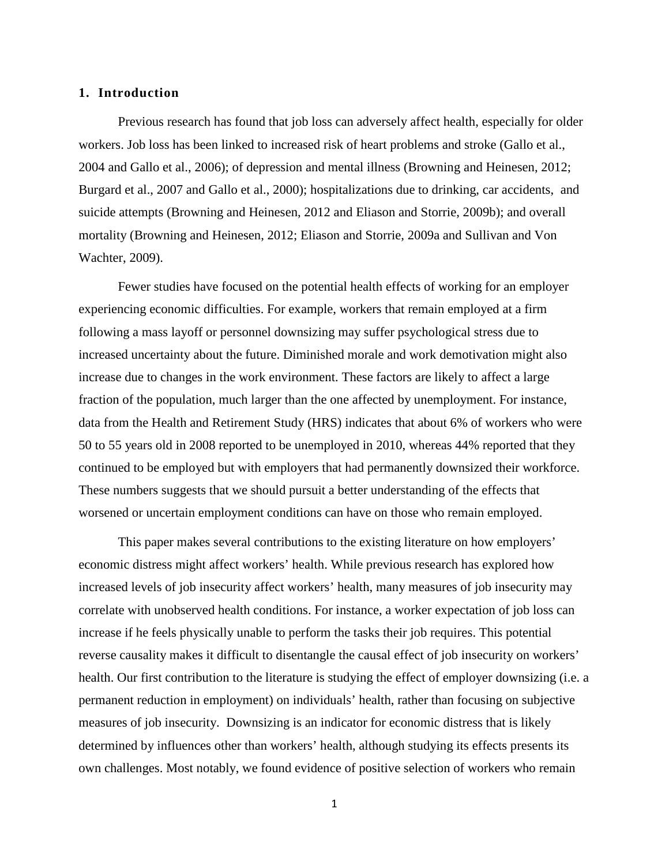#### **1. Introduction**

Previous research has found that job loss can adversely affect health, especially for older workers. Job loss has been linked to increased risk of heart problems and stroke (Gallo et al., 2004 and Gallo et al., 2006); of depression and mental illness (Browning and Heinesen, 2012; Burgard et al., 2007 and Gallo et al., 2000); hospitalizations due to drinking, car accidents, and suicide attempts (Browning and Heinesen, 2012 and Eliason and Storrie, 2009b); and overall mortality (Browning and Heinesen, 2012; Eliason and Storrie, 2009a and Sullivan and Von Wachter, 2009).

Fewer studies have focused on the potential health effects of working for an employer experiencing economic difficulties. For example, workers that remain employed at a firm following a mass layoff or personnel downsizing may suffer psychological stress due to increased uncertainty about the future. Diminished morale and work demotivation might also increase due to changes in the work environment. These factors are likely to affect a large fraction of the population, much larger than the one affected by unemployment. For instance, data from the Health and Retirement Study (HRS) indicates that about 6% of workers who were 50 to 55 years old in 2008 reported to be unemployed in 2010, whereas 44% reported that they continued to be employed but with employers that had permanently downsized their workforce. These numbers suggests that we should pursuit a better understanding of the effects that worsened or uncertain employment conditions can have on those who remain employed.

This paper makes several contributions to the existing literature on how employers' economic distress might affect workers' health. While previous research has explored how increased levels of job insecurity affect workers' health, many measures of job insecurity may correlate with unobserved health conditions. For instance, a worker expectation of job loss can increase if he feels physically unable to perform the tasks their job requires. This potential reverse causality makes it difficult to disentangle the causal effect of job insecurity on workers' health. Our first contribution to the literature is studying the effect of employer downsizing (i.e. a permanent reduction in employment) on individuals' health, rather than focusing on subjective measures of job insecurity. Downsizing is an indicator for economic distress that is likely determined by influences other than workers' health, although studying its effects presents its own challenges. Most notably, we found evidence of positive selection of workers who remain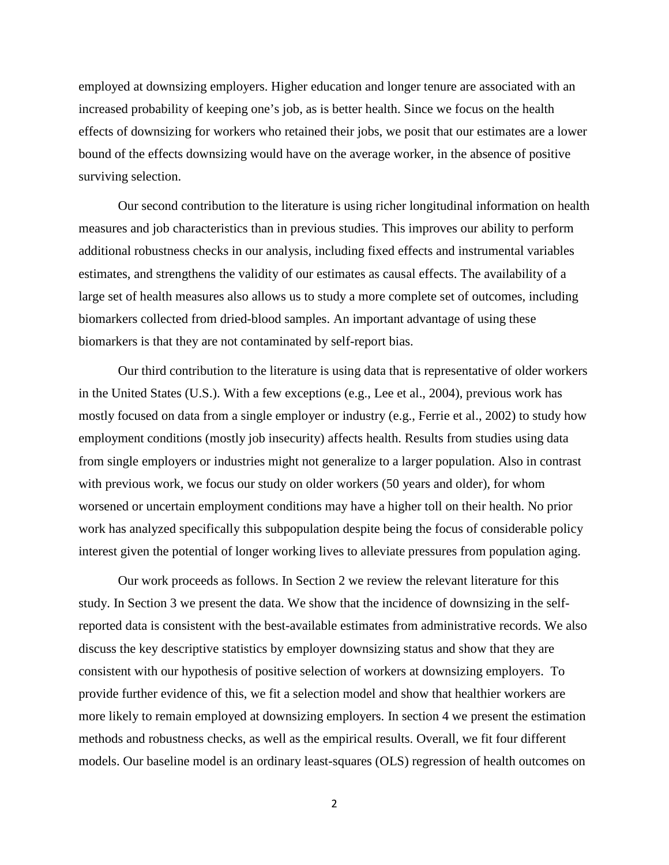employed at downsizing employers. Higher education and longer tenure are associated with an increased probability of keeping one's job, as is better health. Since we focus on the health effects of downsizing for workers who retained their jobs, we posit that our estimates are a lower bound of the effects downsizing would have on the average worker, in the absence of positive surviving selection.

Our second contribution to the literature is using richer longitudinal information on health measures and job characteristics than in previous studies. This improves our ability to perform additional robustness checks in our analysis, including fixed effects and instrumental variables estimates, and strengthens the validity of our estimates as causal effects. The availability of a large set of health measures also allows us to study a more complete set of outcomes, including biomarkers collected from dried-blood samples. An important advantage of using these biomarkers is that they are not contaminated by self-report bias.

Our third contribution to the literature is using data that is representative of older workers in the United States (U.S.). With a few exceptions (e.g., Lee et al., 2004), previous work has mostly focused on data from a single employer or industry (e.g., Ferrie et al., 2002) to study how employment conditions (mostly job insecurity) affects health. Results from studies using data from single employers or industries might not generalize to a larger population. Also in contrast with previous work, we focus our study on older workers (50 years and older), for whom worsened or uncertain employment conditions may have a higher toll on their health. No prior work has analyzed specifically this subpopulation despite being the focus of considerable policy interest given the potential of longer working lives to alleviate pressures from population aging.

Our work proceeds as follows. In Section 2 we review the relevant literature for this study. In Section 3 we present the data. We show that the incidence of downsizing in the selfreported data is consistent with the best-available estimates from administrative records. We also discuss the key descriptive statistics by employer downsizing status and show that they are consistent with our hypothesis of positive selection of workers at downsizing employers. To provide further evidence of this, we fit a selection model and show that healthier workers are more likely to remain employed at downsizing employers. In section 4 we present the estimation methods and robustness checks, as well as the empirical results. Overall, we fit four different models. Our baseline model is an ordinary least-squares (OLS) regression of health outcomes on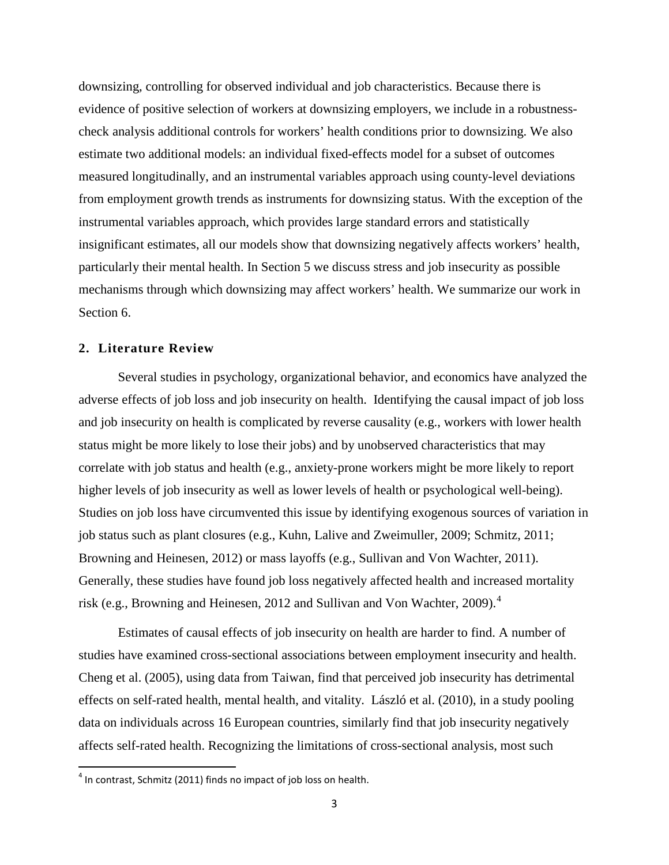downsizing, controlling for observed individual and job characteristics. Because there is evidence of positive selection of workers at downsizing employers, we include in a robustnesscheck analysis additional controls for workers' health conditions prior to downsizing. We also estimate two additional models: an individual fixed-effects model for a subset of outcomes measured longitudinally, and an instrumental variables approach using county-level deviations from employment growth trends as instruments for downsizing status. With the exception of the instrumental variables approach, which provides large standard errors and statistically insignificant estimates, all our models show that downsizing negatively affects workers' health, particularly their mental health. In Section 5 we discuss stress and job insecurity as possible mechanisms through which downsizing may affect workers' health. We summarize our work in Section 6.

#### **2. Literature Review**

Several studies in psychology, organizational behavior, and economics have analyzed the adverse effects of job loss and job insecurity on health. Identifying the causal impact of job loss and job insecurity on health is complicated by reverse causality (e.g., workers with lower health status might be more likely to lose their jobs) and by unobserved characteristics that may correlate with job status and health (e.g., anxiety-prone workers might be more likely to report higher levels of job insecurity as well as lower levels of health or psychological well-being). Studies on job loss have circumvented this issue by identifying exogenous sources of variation in job status such as plant closures (e.g., Kuhn, Lalive and Zweimuller, 2009; Schmitz, 2011; Browning and Heinesen, 2012) or mass layoffs (e.g., Sullivan and Von Wachter, 2011). Generally, these studies have found job loss negatively affected health and increased mortality risk (e.g., Browning and Heinesen, 2012 and Sullivan and Von Wachter, 2009). [4](#page-5-0)

Estimates of causal effects of job insecurity on health are harder to find. A number of studies have examined cross-sectional associations between employment insecurity and health. Cheng et al. (2005), using data from Taiwan, find that perceived job insecurity has detrimental effects on self-rated health, mental health, and vitality. László et al. (2010), in a study pooling data on individuals across 16 European countries, similarly find that job insecurity negatively affects self-rated health. Recognizing the limitations of cross-sectional analysis, most such

<span id="page-5-0"></span> $4$  In contrast, Schmitz (2011) finds no impact of job loss on health.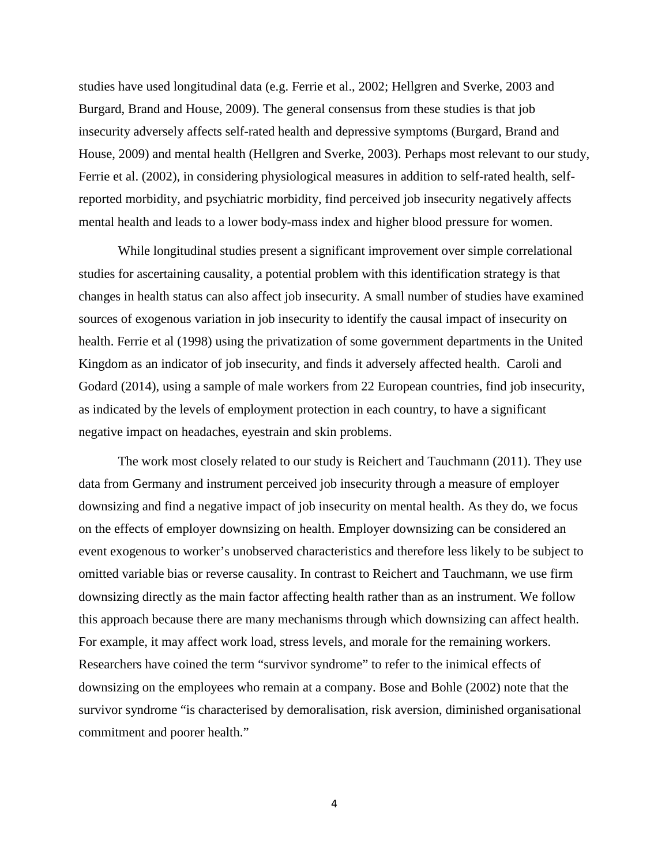studies have used longitudinal data (e.g. Ferrie et al., 2002; Hellgren and Sverke, 2003 and Burgard, Brand and House, 2009). The general consensus from these studies is that job insecurity adversely affects self-rated health and depressive symptoms (Burgard, Brand and House, 2009) and mental health (Hellgren and Sverke, 2003). Perhaps most relevant to our study, Ferrie et al. (2002), in considering physiological measures in addition to self-rated health, selfreported morbidity, and psychiatric morbidity, find perceived job insecurity negatively affects mental health and leads to a lower body-mass index and higher blood pressure for women.

While longitudinal studies present a significant improvement over simple correlational studies for ascertaining causality, a potential problem with this identification strategy is that changes in health status can also affect job insecurity. A small number of studies have examined sources of exogenous variation in job insecurity to identify the causal impact of insecurity on health. Ferrie et al (1998) using the privatization of some government departments in the United Kingdom as an indicator of job insecurity, and finds it adversely affected health. Caroli and Godard (2014), using a sample of male workers from 22 European countries, find job insecurity, as indicated by the levels of employment protection in each country, to have a significant negative impact on headaches, eyestrain and skin problems.

The work most closely related to our study is Reichert and Tauchmann (2011). They use data from Germany and instrument perceived job insecurity through a measure of employer downsizing and find a negative impact of job insecurity on mental health. As they do, we focus on the effects of employer downsizing on health. Employer downsizing can be considered an event exogenous to worker's unobserved characteristics and therefore less likely to be subject to omitted variable bias or reverse causality. In contrast to Reichert and Tauchmann, we use firm downsizing directly as the main factor affecting health rather than as an instrument. We follow this approach because there are many mechanisms through which downsizing can affect health. For example, it may affect work load, stress levels, and morale for the remaining workers. Researchers have coined the term "survivor syndrome" to refer to the inimical effects of downsizing on the employees who remain at a company. Bose and Bohle (2002) note that the survivor syndrome "is characterised by demoralisation, risk aversion, diminished organisational commitment and poorer health."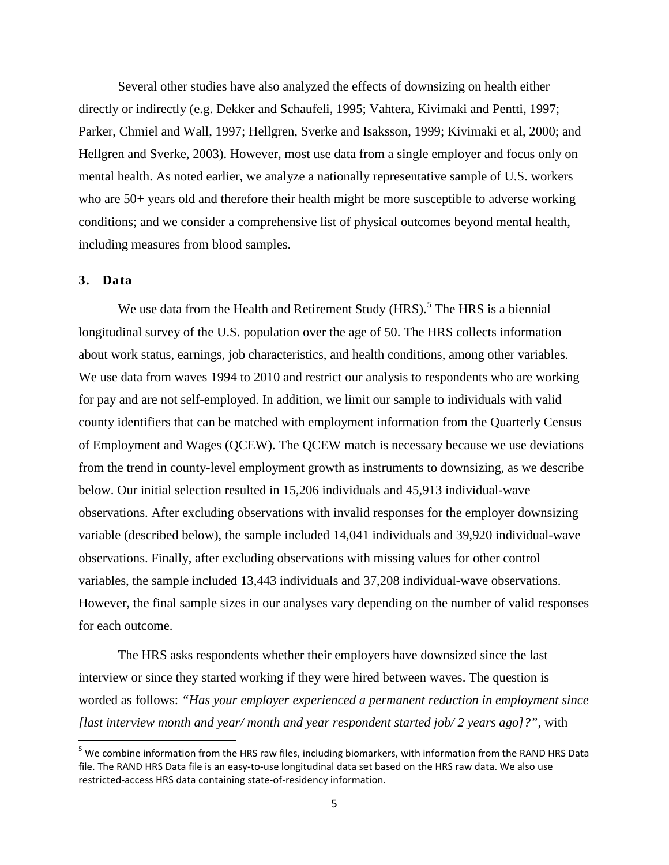Several other studies have also analyzed the effects of downsizing on health either directly or indirectly (e.g. Dekker and Schaufeli, 1995; Vahtera, Kivimaki and Pentti, 1997; Parker, Chmiel and Wall, 1997; Hellgren, Sverke and Isaksson, 1999; Kivimaki et al, 2000; and Hellgren and Sverke, 2003). However, most use data from a single employer and focus only on mental health. As noted earlier, we analyze a nationally representative sample of U.S. workers who are 50+ years old and therefore their health might be more susceptible to adverse working conditions; and we consider a comprehensive list of physical outcomes beyond mental health, including measures from blood samples.

#### **3. Data**

We use data from the Health and Retirement Study  $(HRS)$ .<sup>[5](#page-7-0)</sup> The HRS is a biennial longitudinal survey of the U.S. population over the age of 50. The HRS collects information about work status, earnings, job characteristics, and health conditions, among other variables. We use data from waves 1994 to 2010 and restrict our analysis to respondents who are working for pay and are not self-employed. In addition, we limit our sample to individuals with valid county identifiers that can be matched with employment information from the Quarterly Census of Employment and Wages (QCEW). The QCEW match is necessary because we use deviations from the trend in county-level employment growth as instruments to downsizing, as we describe below. Our initial selection resulted in 15,206 individuals and 45,913 individual-wave observations. After excluding observations with invalid responses for the employer downsizing variable (described below), the sample included 14,041 individuals and 39,920 individual-wave observations. Finally, after excluding observations with missing values for other control variables, the sample included 13,443 individuals and 37,208 individual-wave observations. However, the final sample sizes in our analyses vary depending on the number of valid responses for each outcome.

The HRS asks respondents whether their employers have downsized since the last interview or since they started working if they were hired between waves. The question is worded as follows: *"Has your employer experienced a permanent reduction in employment since [last interview month and year/ month and year respondent started job/ 2 years ago]?"*, with

<span id="page-7-0"></span><sup>&</sup>lt;sup>5</sup> We combine information from the HRS raw files, including biomarkers, with information from the RAND HRS Data file. The RAND HRS Data file is an easy-to-use longitudinal data set based on the HRS raw data. We also use restricted-access HRS data containing state-of-residency information.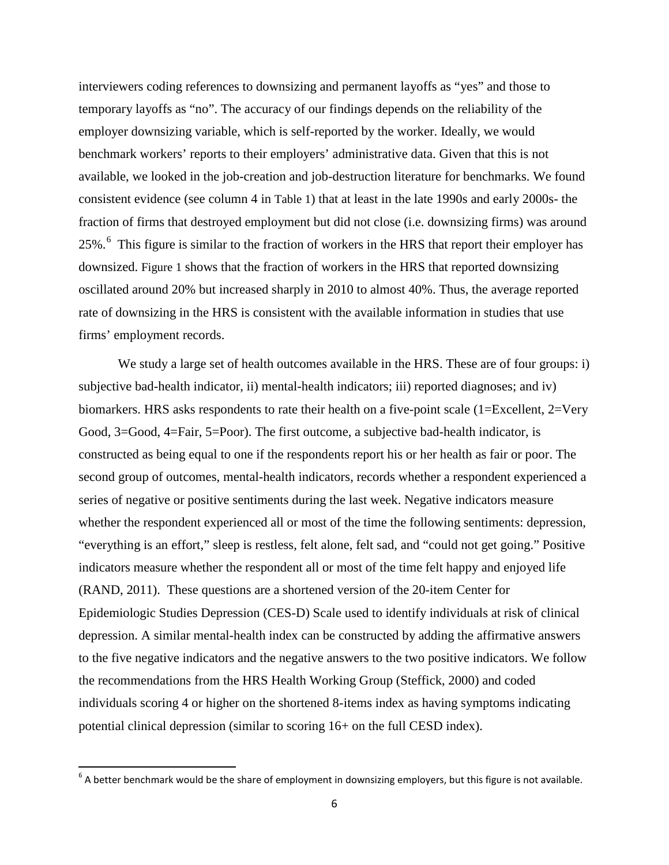interviewers coding references to downsizing and permanent layoffs as "yes" and those to temporary layoffs as "no". The accuracy of our findings depends on the reliability of the employer downsizing variable, which is self-reported by the worker. Ideally, we would benchmark workers' reports to their employers' administrative data. Given that this is not available, we looked in the job-creation and job-destruction literature for benchmarks. We found consistent evidence (see column 4 in [Table 1\)](#page-30-0) that at least in the late 1990s and early 2000s- the fraction of firms that destroyed employment but did not close (i.e. downsizing firms) was around 25%.<sup>[6](#page-8-0)</sup> This figure is similar to the fraction of workers in the HRS that report their employer has downsized. [Figure 1](#page-27-0) shows that the fraction of workers in the HRS that reported downsizing oscillated around 20% but increased sharply in 2010 to almost 40%. Thus, the average reported rate of downsizing in the HRS is consistent with the available information in studies that use firms' employment records.

We study a large set of health outcomes available in the HRS. These are of four groups: i) subjective bad-health indicator, ii) mental-health indicators; iii) reported diagnoses; and iv) biomarkers. HRS asks respondents to rate their health on a five-point scale (1=Excellent, 2=Very Good, 3=Good, 4=Fair, 5=Poor). The first outcome, a subjective bad-health indicator, is constructed as being equal to one if the respondents report his or her health as fair or poor. The second group of outcomes, mental-health indicators, records whether a respondent experienced a series of negative or positive sentiments during the last week. Negative indicators measure whether the respondent experienced all or most of the time the following sentiments: depression, "everything is an effort," sleep is restless, felt alone, felt sad, and "could not get going." Positive indicators measure whether the respondent all or most of the time felt happy and enjoyed life (RAND, 2011). These questions are a shortened version of the 20-item Center for Epidemiologic Studies Depression (CES-D) Scale used to identify individuals at risk of clinical depression. A similar mental-health index can be constructed by adding the affirmative answers to the five negative indicators and the negative answers to the two positive indicators. We follow the recommendations from the HRS Health Working Group (Steffick, 2000) and coded individuals scoring 4 or higher on the shortened 8-items index as having symptoms indicating potential clinical depression (similar to scoring 16+ on the full CESD index).

<span id="page-8-0"></span> $6$  A better benchmark would be the share of employment in downsizing employers, but this figure is not available.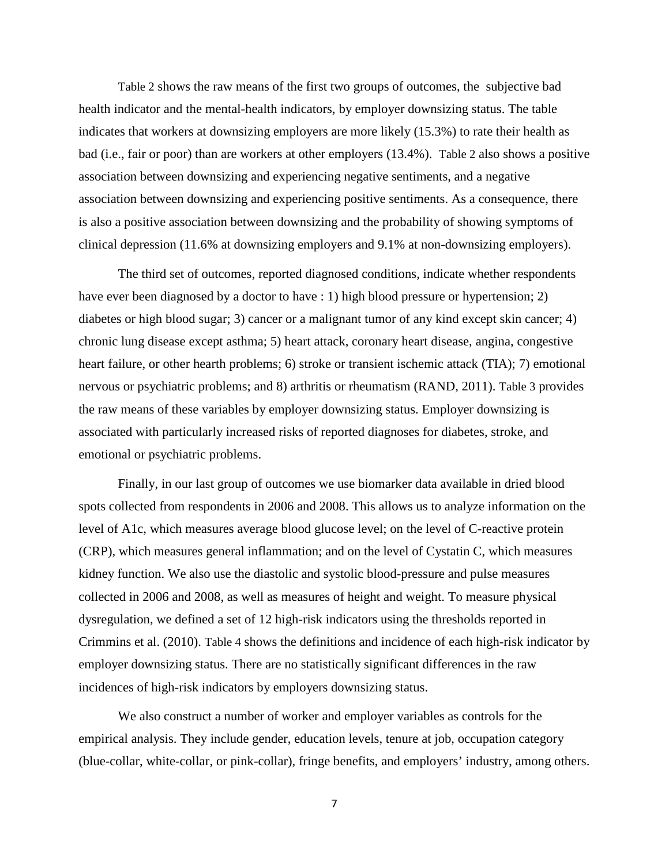[Table 2](#page-31-0) shows the raw means of the first two groups of outcomes, the subjective bad health indicator and the mental-health indicators, by employer downsizing status. The table indicates that workers at downsizing employers are more likely (15.3%) to rate their health as bad (i.e., fair or poor) than are workers at other employers (13.4%). [Table 2](#page-31-0) also shows a positive association between downsizing and experiencing negative sentiments, and a negative association between downsizing and experiencing positive sentiments. As a consequence, there is also a positive association between downsizing and the probability of showing symptoms of clinical depression (11.6% at downsizing employers and 9.1% at non-downsizing employers).

The third set of outcomes, reported diagnosed conditions, indicate whether respondents have ever been diagnosed by a doctor to have : 1) high blood pressure or hypertension; 2) diabetes or high blood sugar; 3) cancer or a malignant tumor of any kind except skin cancer; 4) chronic lung disease except asthma; 5) heart attack, coronary heart disease, angina, congestive heart failure, or other hearth problems; 6) stroke or transient ischemic attack (TIA); 7) emotional nervous or psychiatric problems; and 8) arthritis or rheumatism (RAND, 2011). [Table 3](#page-31-1) provides the raw means of these variables by employer downsizing status. Employer downsizing is associated with particularly increased risks of reported diagnoses for diabetes, stroke, and emotional or psychiatric problems.

Finally, in our last group of outcomes we use biomarker data available in dried blood spots collected from respondents in 2006 and 2008. This allows us to analyze information on the level of A1c, which measures average blood glucose level; on the level of C-reactive protein (CRP), which measures general inflammation; and on the level of Cystatin C, which measures kidney function. We also use the diastolic and systolic blood-pressure and pulse measures collected in 2006 and 2008, as well as measures of height and weight. To measure physical dysregulation, we defined a set of 12 high-risk indicators using the thresholds reported in Crimmins et al. (2010). [Table 4](#page-32-0) shows the definitions and incidence of each high-risk indicator by employer downsizing status. There are no statistically significant differences in the raw incidences of high-risk indicators by employers downsizing status.

We also construct a number of worker and employer variables as controls for the empirical analysis. They include gender, education levels, tenure at job, occupation category (blue-collar, white-collar, or pink-collar), fringe benefits, and employers' industry, among others.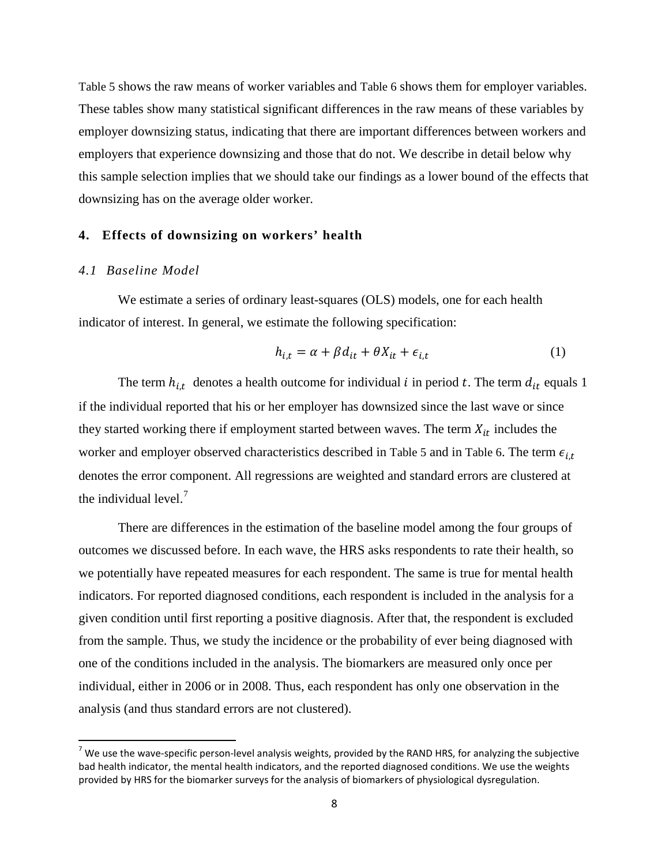[Table 5](#page-32-1) shows the raw means of worker variables and [Table 6](#page-33-0) shows them for employer variables. These tables show many statistical significant differences in the raw means of these variables by employer downsizing status, indicating that there are important differences between workers and employers that experience downsizing and those that do not. We describe in detail below why this sample selection implies that we should take our findings as a lower bound of the effects that downsizing has on the average older worker.

#### **4. Effects of downsizing on workers' health**

#### *4.1 Baseline Model*

We estimate a series of ordinary least-squares (OLS) models, one for each health indicator of interest. In general, we estimate the following specification:

$$
h_{i,t} = \alpha + \beta d_{it} + \theta X_{it} + \epsilon_{i,t} \tag{1}
$$

The term  $h_{i,t}$  denotes a health outcome for individual i in period t. The term  $d_{it}$  equals 1 if the individual reported that his or her employer has downsized since the last wave or since they started working there if employment started between waves. The term  $X_{it}$  includes the worker and employer observed characteristics described in [Table 5](#page-32-1) and in [Table 6.](#page-33-0) The term  $\epsilon_{i,t}$ denotes the error component. All regressions are weighted and standard errors are clustered at the individual level. $<sup>7</sup>$  $<sup>7</sup>$  $<sup>7</sup>$ </sup>

There are differences in the estimation of the baseline model among the four groups of outcomes we discussed before. In each wave, the HRS asks respondents to rate their health, so we potentially have repeated measures for each respondent. The same is true for mental health indicators. For reported diagnosed conditions, each respondent is included in the analysis for a given condition until first reporting a positive diagnosis. After that, the respondent is excluded from the sample. Thus, we study the incidence or the probability of ever being diagnosed with one of the conditions included in the analysis. The biomarkers are measured only once per individual, either in 2006 or in 2008. Thus, each respondent has only one observation in the analysis (and thus standard errors are not clustered).

<span id="page-10-0"></span> $<sup>7</sup>$  We use the wave-specific person-level analysis weights, provided by the RAND HRS, for analyzing the subjective</sup> bad health indicator, the mental health indicators, and the reported diagnosed conditions. We use the weights provided by HRS for the biomarker surveys for the analysis of biomarkers of physiological dysregulation.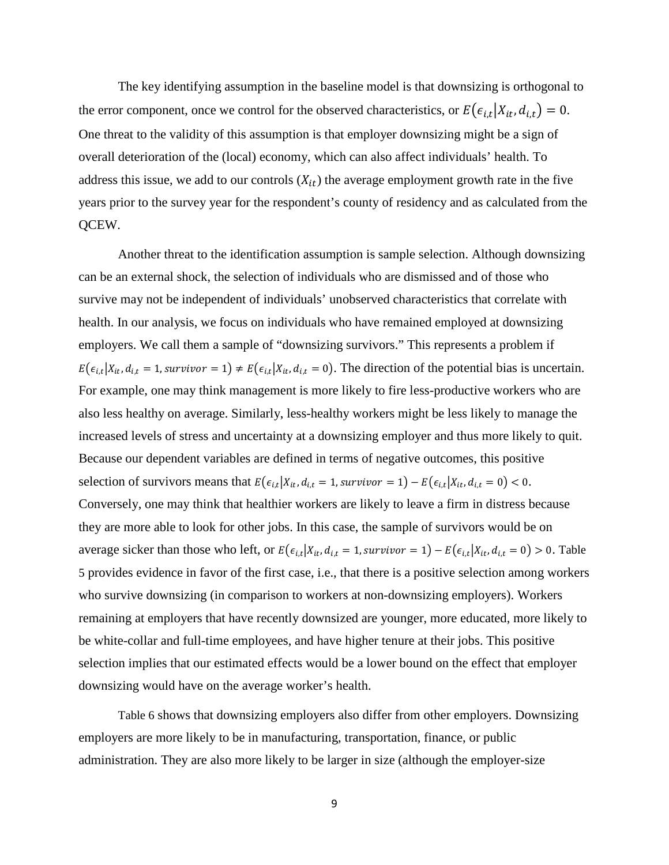The key identifying assumption in the baseline model is that downsizing is orthogonal to the error component, once we control for the observed characteristics, or  $E(\epsilon_{i,t}|X_{it}, d_{i,t}) = 0$ . One threat to the validity of this assumption is that employer downsizing might be a sign of overall deterioration of the (local) economy, which can also affect individuals' health. To address this issue, we add to our controls  $(X_{it})$  the average employment growth rate in the five years prior to the survey year for the respondent's county of residency and as calculated from the QCEW.

Another threat to the identification assumption is sample selection. Although downsizing can be an external shock, the selection of individuals who are dismissed and of those who survive may not be independent of individuals' unobserved characteristics that correlate with health. In our analysis, we focus on individuals who have remained employed at downsizing employers. We call them a sample of "downsizing survivors." This represents a problem if  $E(\epsilon_{i,t}|X_{it}, d_{i,t} = 1, \text{survivor} = 1) \neq E(\epsilon_{i,t}|X_{it}, d_{i,t} = 0)$ . The direction of the potential bias is uncertain. For example, one may think management is more likely to fire less-productive workers who are also less healthy on average. Similarly, less-healthy workers might be less likely to manage the increased levels of stress and uncertainty at a downsizing employer and thus more likely to quit. Because our dependent variables are defined in terms of negative outcomes, this positive selection of survivors means that  $E(\epsilon_{i,t}|X_{it}, d_{i,t} = 1, \text{survivor} = 1) - E(\epsilon_{i,t}|X_{it}, d_{i,t} = 0) < 0.$ Conversely, one may think that healthier workers are likely to leave a firm in distress because they are more able to look for other jobs. In this case, the sample of survivors would be on average sicker than those who left, or  $E(e_{i,t} | X_{it}, d_{i,t} = 1, \text{survivor} = 1) - E(e_{i,t} | X_{it}, d_{i,t} = 0) > 0$ . Table [5](#page-32-1) provides evidence in favor of the first case, i.e., that there is a positive selection among workers who survive downsizing (in comparison to workers at non-downsizing employers). Workers remaining at employers that have recently downsized are younger, more educated, more likely to be white-collar and full-time employees, and have higher tenure at their jobs. This positive selection implies that our estimated effects would be a lower bound on the effect that employer downsizing would have on the average worker's health.

[Table 6](#page-33-0) shows that downsizing employers also differ from other employers. Downsizing employers are more likely to be in manufacturing, transportation, finance, or public administration. They are also more likely to be larger in size (although the employer-size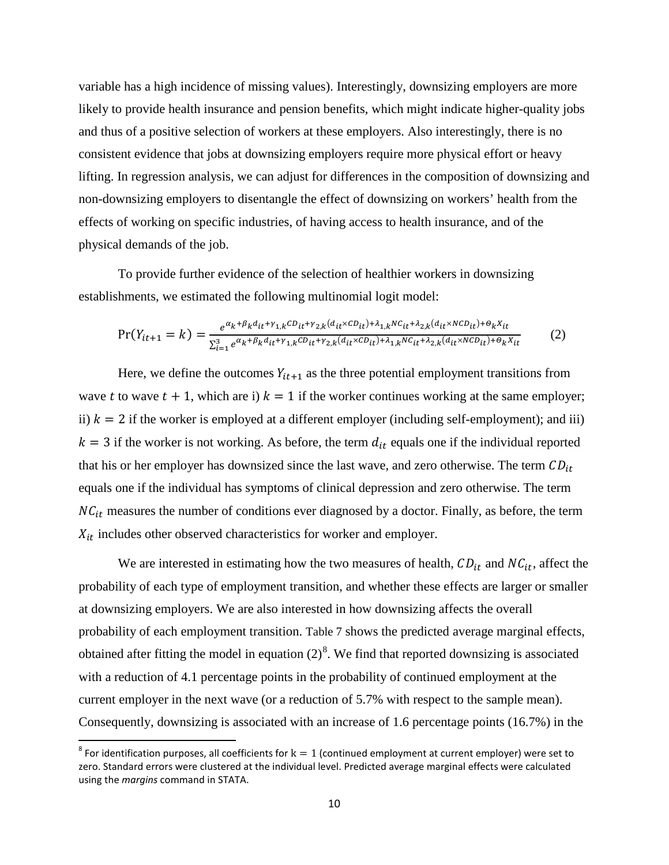variable has a high incidence of missing values). Interestingly, downsizing employers are more likely to provide health insurance and pension benefits, which might indicate higher-quality jobs and thus of a positive selection of workers at these employers. Also interestingly, there is no consistent evidence that jobs at downsizing employers require more physical effort or heavy lifting. In regression analysis, we can adjust for differences in the composition of downsizing and non-downsizing employers to disentangle the effect of downsizing on workers' health from the effects of working on specific industries, of having access to health insurance, and of the physical demands of the job.

To provide further evidence of the selection of healthier workers in downsizing establishments, we estimated the following multinomial logit model:

$$
Pr(Y_{it+1} = k) = \frac{e^{\alpha_k + \beta_k d_{it} + \gamma_{1,k} CD_{it} + \gamma_{2,k}(d_{it} \times CD_{it}) + \lambda_{1,k} NC_{it} + \lambda_{2,k}(d_{it} \times NC_{it}) + \theta_k X_{it}}}{\sum_{i=1}^3 e^{\alpha_k + \beta_k d_{it} + \gamma_{1,k} CD_{it} + \gamma_{2,k}(d_{it} \times CD_{it}) + \lambda_{1,k} NC_{it} + \lambda_{2,k}(d_{it} \times NC_{it}) + \theta_k X_{it}}}
$$
(2)

Here, we define the outcomes  $Y_{it+1}$  as the three potential employment transitions from wave t to wave  $t + 1$ , which are i)  $k = 1$  if the worker continues working at the same employer; ii)  $k = 2$  if the worker is employed at a different employer (including self-employment); and iii)  $k = 3$  if the worker is not working. As before, the term  $d_{it}$  equals one if the individual reported that his or her employer has downsized since the last wave, and zero otherwise. The term  $CD_{it}$ equals one if the individual has symptoms of clinical depression and zero otherwise. The term  $NC_{it}$  measures the number of conditions ever diagnosed by a doctor. Finally, as before, the term  $X_{it}$  includes other observed characteristics for worker and employer.

We are interested in estimating how the two measures of health,  $CD_{it}$  and  $NC_{it}$ , affect the probability of each type of employment transition, and whether these effects are larger or smaller at downsizing employers. We are also interested in how downsizing affects the overall probability of each employment transition. [Table 7](#page-34-0) shows the predicted average marginal effects, obtained after fitting the model in equation  $(2)^8$  $(2)^8$ . We find that reported downsizing is associated with a reduction of 4.1 percentage points in the probability of continued employment at the current employer in the next wave (or a reduction of 5.7% with respect to the sample mean). Consequently, downsizing is associated with an increase of 1.6 percentage points (16.7%) in the

<span id="page-12-0"></span><sup>&</sup>lt;sup>8</sup> For identification purposes, all coefficients for  $k = 1$  (continued employment at current employer) were set to zero. Standard errors were clustered at the individual level. Predicted average marginal effects were calculated using the *margins* command in STATA.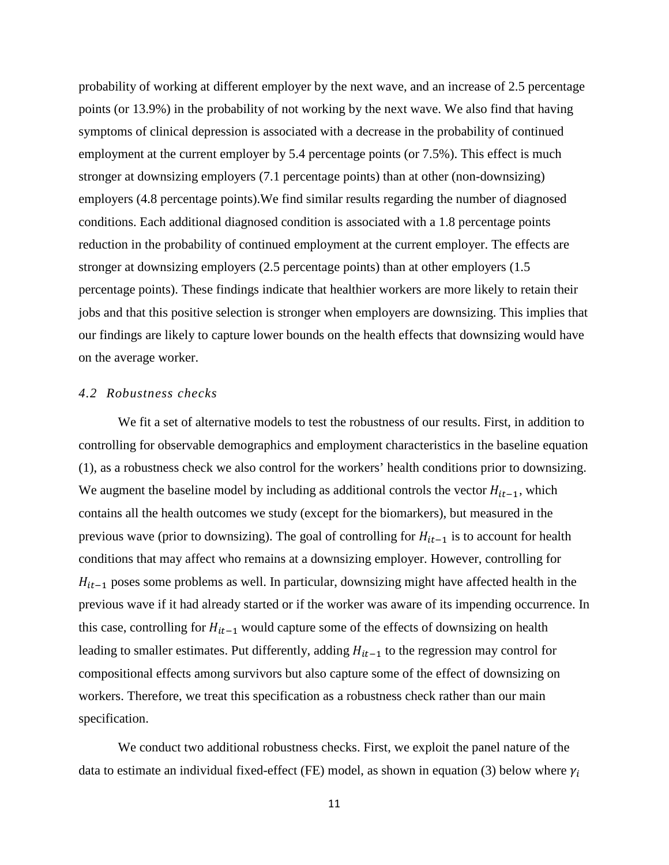probability of working at different employer by the next wave, and an increase of 2.5 percentage points (or 13.9%) in the probability of not working by the next wave. We also find that having symptoms of clinical depression is associated with a decrease in the probability of continued employment at the current employer by 5.4 percentage points (or 7.5%). This effect is much stronger at downsizing employers (7.1 percentage points) than at other (non-downsizing) employers (4.8 percentage points).We find similar results regarding the number of diagnosed conditions. Each additional diagnosed condition is associated with a 1.8 percentage points reduction in the probability of continued employment at the current employer. The effects are stronger at downsizing employers (2.5 percentage points) than at other employers (1.5 percentage points). These findings indicate that healthier workers are more likely to retain their jobs and that this positive selection is stronger when employers are downsizing. This implies that our findings are likely to capture lower bounds on the health effects that downsizing would have on the average worker.

#### *4.2 Robustness checks*

We fit a set of alternative models to test the robustness of our results. First, in addition to controlling for observable demographics and employment characteristics in the baseline equation (1), as a robustness check we also control for the workers' health conditions prior to downsizing. We augment the baseline model by including as additional controls the vector  $H_{it-1}$ , which contains all the health outcomes we study (except for the biomarkers), but measured in the previous wave (prior to downsizing). The goal of controlling for  $H_{it-1}$  is to account for health conditions that may affect who remains at a downsizing employer. However, controlling for  $H_{it-1}$  poses some problems as well. In particular, downsizing might have affected health in the previous wave if it had already started or if the worker was aware of its impending occurrence. In this case, controlling for  $H_{it-1}$  would capture some of the effects of downsizing on health leading to smaller estimates. Put differently, adding  $H_{it-1}$  to the regression may control for compositional effects among survivors but also capture some of the effect of downsizing on workers. Therefore, we treat this specification as a robustness check rather than our main specification.

We conduct two additional robustness checks. First, we exploit the panel nature of the data to estimate an individual fixed-effect (FE) model, as shown in equation (3) below where  $\gamma_i$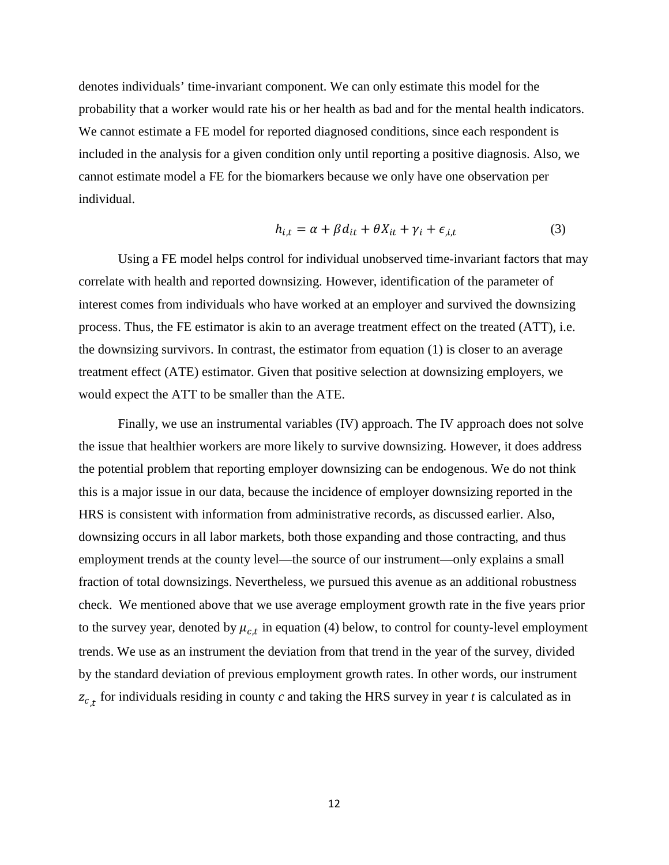denotes individuals' time-invariant component. We can only estimate this model for the probability that a worker would rate his or her health as bad and for the mental health indicators. We cannot estimate a FE model for reported diagnosed conditions, since each respondent is included in the analysis for a given condition only until reporting a positive diagnosis. Also, we cannot estimate model a FE for the biomarkers because we only have one observation per individual.

$$
h_{i,t} = \alpha + \beta d_{it} + \theta X_{it} + \gamma_i + \epsilon_{i,t} \tag{3}
$$

Using a FE model helps control for individual unobserved time-invariant factors that may correlate with health and reported downsizing. However, identification of the parameter of interest comes from individuals who have worked at an employer and survived the downsizing process. Thus, the FE estimator is akin to an average treatment effect on the treated (ATT), i.e. the downsizing survivors. In contrast, the estimator from equation (1) is closer to an average treatment effect (ATE) estimator. Given that positive selection at downsizing employers, we would expect the ATT to be smaller than the ATE.

Finally, we use an instrumental variables (IV) approach. The IV approach does not solve the issue that healthier workers are more likely to survive downsizing. However, it does address the potential problem that reporting employer downsizing can be endogenous. We do not think this is a major issue in our data, because the incidence of employer downsizing reported in the HRS is consistent with information from administrative records, as discussed earlier. Also, downsizing occurs in all labor markets, both those expanding and those contracting, and thus employment trends at the county level—the source of our instrument—only explains a small fraction of total downsizings. Nevertheless, we pursued this avenue as an additional robustness check. We mentioned above that we use average employment growth rate in the five years prior to the survey year, denoted by  $\mu_{c,t}$  in equation (4) below, to control for county-level employment trends. We use as an instrument the deviation from that trend in the year of the survey, divided by the standard deviation of previous employment growth rates. In other words, our instrument  $z_{c}$  for individuals residing in county *c* and taking the HRS survey in year *t* is calculated as in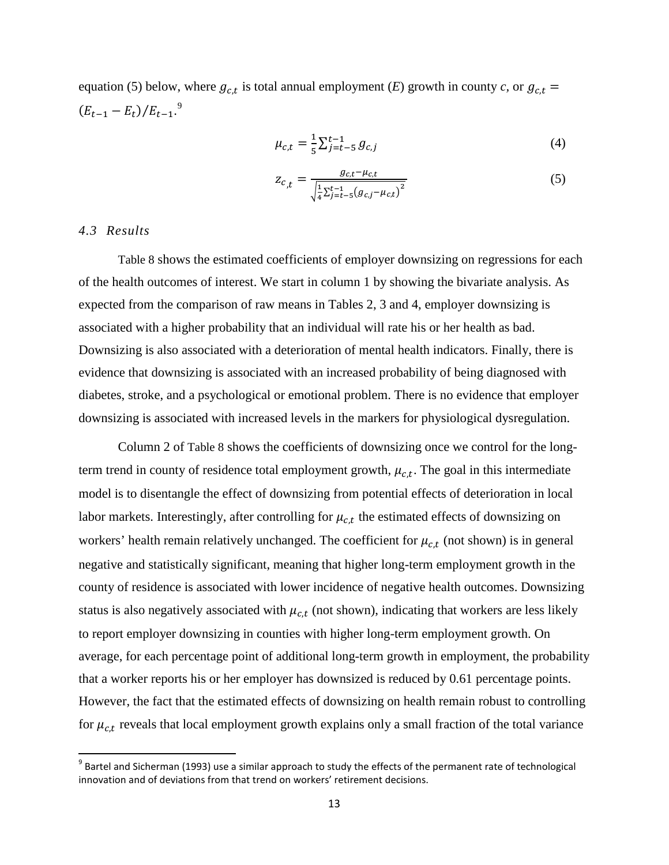equation (5) below, where  $g_{c,t}$  is total annual employment (*E*) growth in county *c*, or  $g_{c,t}$  =  $(E_{t-1} - E_t)/E_{t-1}$ .<sup>[9](#page-15-0)</sup>

$$
\mu_{c,t} = \frac{1}{5} \sum_{j=t-5}^{t-1} g_{c,j} \tag{4}
$$

$$
z_{c,t} = \frac{g_{c,t} - \mu_{c,t}}{\sqrt{\frac{1}{4} \sum_{j=t-5}^{t-1} (g_{c,j} - \mu_{c,t})^2}}
$$
(5)

#### *4.3 Results*

[Table 8](#page-35-0) shows the estimated coefficients of employer downsizing on regressions for each of the health outcomes of interest. We start in column 1 by showing the bivariate analysis. As expected from the comparison of raw means in Tables 2, 3 and 4, employer downsizing is associated with a higher probability that an individual will rate his or her health as bad. Downsizing is also associated with a deterioration of mental health indicators. Finally, there is evidence that downsizing is associated with an increased probability of being diagnosed with diabetes, stroke, and a psychological or emotional problem. There is no evidence that employer downsizing is associated with increased levels in the markers for physiological dysregulation.

Column 2 of [Table 8](#page-35-0) shows the coefficients of downsizing once we control for the longterm trend in county of residence total employment growth,  $\mu_{c,t}$ . The goal in this intermediate model is to disentangle the effect of downsizing from potential effects of deterioration in local labor markets. Interestingly, after controlling for  $\mu_{c,t}$  the estimated effects of downsizing on workers' health remain relatively unchanged. The coefficient for  $\mu_{c,t}$  (not shown) is in general negative and statistically significant, meaning that higher long-term employment growth in the county of residence is associated with lower incidence of negative health outcomes. Downsizing status is also negatively associated with  $\mu_{c,t}$  (not shown), indicating that workers are less likely to report employer downsizing in counties with higher long-term employment growth. On average, for each percentage point of additional long-term growth in employment, the probability that a worker reports his or her employer has downsized is reduced by 0.61 percentage points. However, the fact that the estimated effects of downsizing on health remain robust to controlling for  $\mu_{c,t}$  reveals that local employment growth explains only a small fraction of the total variance

<span id="page-15-0"></span> $9$  Bartel and Sicherman (1993) use a similar approach to study the effects of the permanent rate of technological innovation and of deviations from that trend on workers' retirement decisions.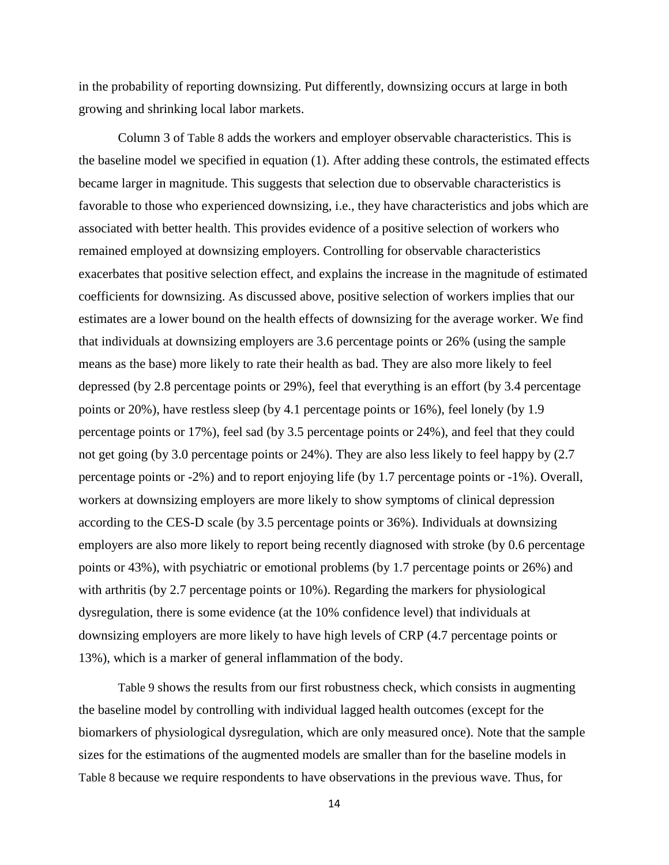in the probability of reporting downsizing. Put differently, downsizing occurs at large in both growing and shrinking local labor markets.

Column 3 of [Table 8](#page-35-0) adds the workers and employer observable characteristics. This is the baseline model we specified in equation (1). After adding these controls, the estimated effects became larger in magnitude. This suggests that selection due to observable characteristics is favorable to those who experienced downsizing, i.e., they have characteristics and jobs which are associated with better health. This provides evidence of a positive selection of workers who remained employed at downsizing employers. Controlling for observable characteristics exacerbates that positive selection effect, and explains the increase in the magnitude of estimated coefficients for downsizing. As discussed above, positive selection of workers implies that our estimates are a lower bound on the health effects of downsizing for the average worker. We find that individuals at downsizing employers are 3.6 percentage points or 26% (using the sample means as the base) more likely to rate their health as bad. They are also more likely to feel depressed (by 2.8 percentage points or 29%), feel that everything is an effort (by 3.4 percentage points or 20%), have restless sleep (by 4.1 percentage points or 16%), feel lonely (by 1.9 percentage points or 17%), feel sad (by 3.5 percentage points or 24%), and feel that they could not get going (by 3.0 percentage points or 24%). They are also less likely to feel happy by (2.7 percentage points or -2%) and to report enjoying life (by 1.7 percentage points or -1%). Overall, workers at downsizing employers are more likely to show symptoms of clinical depression according to the CES-D scale (by 3.5 percentage points or 36%). Individuals at downsizing employers are also more likely to report being recently diagnosed with stroke (by 0.6 percentage points or 43%), with psychiatric or emotional problems (by 1.7 percentage points or 26%) and with arthritis (by 2.7 percentage points or 10%). Regarding the markers for physiological dysregulation, there is some evidence (at the 10% confidence level) that individuals at downsizing employers are more likely to have high levels of CRP (4.7 percentage points or 13%), which is a marker of general inflammation of the body.

[Table 9](#page-37-0) shows the results from our first robustness check, which consists in augmenting the baseline model by controlling with individual lagged health outcomes (except for the biomarkers of physiological dysregulation, which are only measured once). Note that the sample sizes for the estimations of the augmented models are smaller than for the baseline models in [Table 8](#page-35-0) because we require respondents to have observations in the previous wave. Thus, for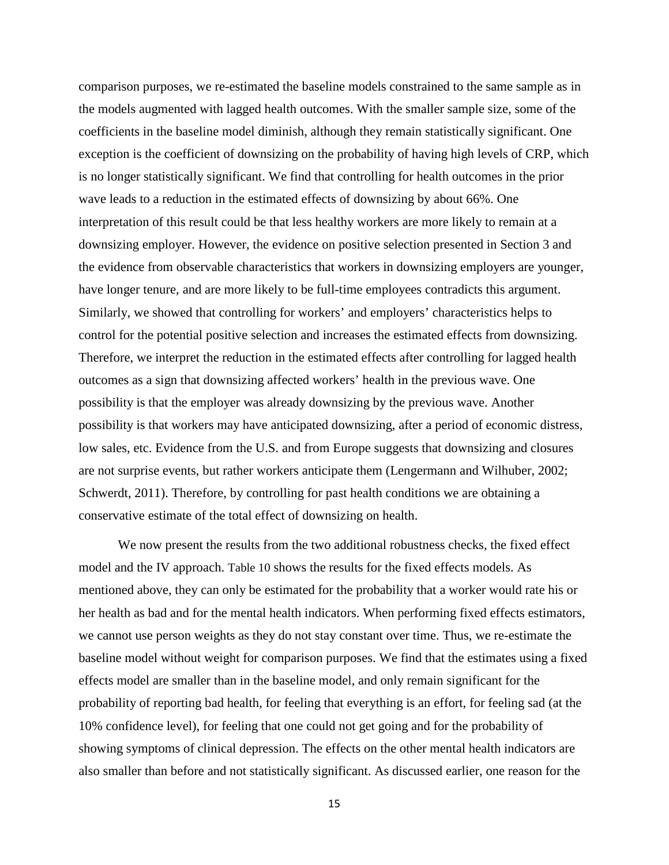comparison purposes, we re-estimated the baseline models constrained to the same sample as in the models augmented with lagged health outcomes. With the smaller sample size, some of the coefficients in the baseline model diminish, although they remain statistically significant. One exception is the coefficient of downsizing on the probability of having high levels of CRP, which is no longer statistically significant. We find that controlling for health outcomes in the prior wave leads to a reduction in the estimated effects of downsizing by about 66%. One interpretation of this result could be that less healthy workers are more likely to remain at a downsizing employer. However, the evidence on positive selection presented in Section 3 and the evidence from observable characteristics that workers in downsizing employers are younger, have longer tenure, and are more likely to be full-time employees contradicts this argument. Similarly, we showed that controlling for workers' and employers' characteristics helps to control for the potential positive selection and increases the estimated effects from downsizing. Therefore, we interpret the reduction in the estimated effects after controlling for lagged health outcomes as a sign that downsizing affected workers' health in the previous wave. One possibility is that the employer was already downsizing by the previous wave. Another possibility is that workers may have anticipated downsizing, after a period of economic distress, low sales, etc. Evidence from the U.S. and from Europe suggests that downsizing and closures are not surprise events, but rather workers anticipate them (Lengermann and Wilhuber, 2002; Schwerdt, 2011). Therefore, by controlling for past health conditions we are obtaining a conservative estimate of the total effect of downsizing on health.

We now present the results from the two additional robustness checks, the fixed effect model and the IV approach. [Table 10](#page-39-0) shows the results for the fixed effects models. As mentioned above, they can only be estimated for the probability that a worker would rate his or her health as bad and for the mental health indicators. When performing fixed effects estimators, we cannot use person weights as they do not stay constant over time. Thus, we re-estimate the baseline model without weight for comparison purposes. We find that the estimates using a fixed effects model are smaller than in the baseline model, and only remain significant for the probability of reporting bad health, for feeling that everything is an effort, for feeling sad (at the 10% confidence level), for feeling that one could not get going and for the probability of showing symptoms of clinical depression. The effects on the other mental health indicators are also smaller than before and not statistically significant. As discussed earlier, one reason for the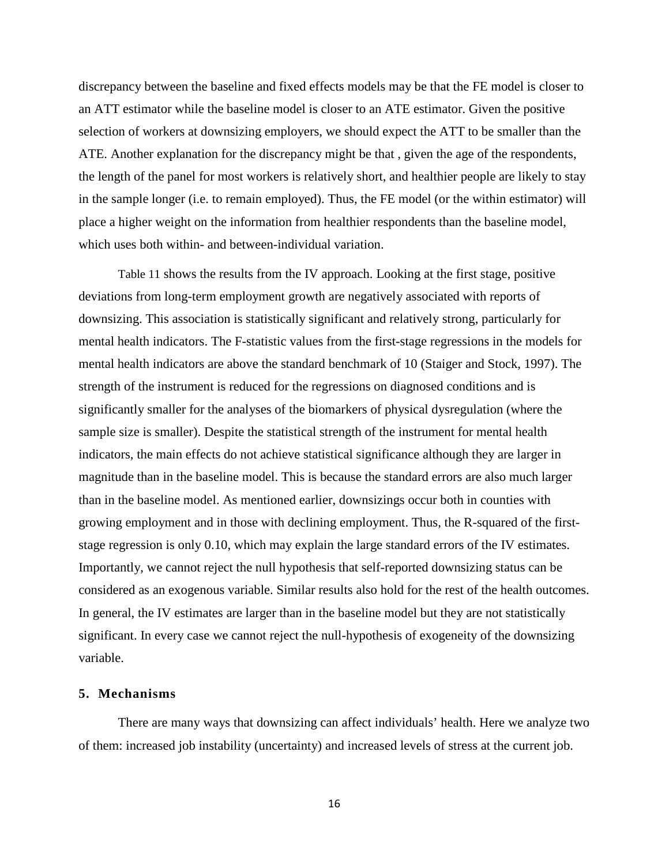discrepancy between the baseline and fixed effects models may be that the FE model is closer to an ATT estimator while the baseline model is closer to an ATE estimator. Given the positive selection of workers at downsizing employers, we should expect the ATT to be smaller than the ATE. Another explanation for the discrepancy might be that , given the age of the respondents, the length of the panel for most workers is relatively short, and healthier people are likely to stay in the sample longer (i.e. to remain employed). Thus, the FE model (or the within estimator) will place a higher weight on the information from healthier respondents than the baseline model, which uses both within- and between-individual variation.

[Table 11](#page-40-0) shows the results from the IV approach. Looking at the first stage, positive deviations from long-term employment growth are negatively associated with reports of downsizing. This association is statistically significant and relatively strong, particularly for mental health indicators. The F-statistic values from the first-stage regressions in the models for mental health indicators are above the standard benchmark of 10 (Staiger and Stock, 1997). The strength of the instrument is reduced for the regressions on diagnosed conditions and is significantly smaller for the analyses of the biomarkers of physical dysregulation (where the sample size is smaller). Despite the statistical strength of the instrument for mental health indicators, the main effects do not achieve statistical significance although they are larger in magnitude than in the baseline model. This is because the standard errors are also much larger than in the baseline model. As mentioned earlier, downsizings occur both in counties with growing employment and in those with declining employment. Thus, the R-squared of the firststage regression is only 0.10, which may explain the large standard errors of the IV estimates. Importantly, we cannot reject the null hypothesis that self-reported downsizing status can be considered as an exogenous variable. Similar results also hold for the rest of the health outcomes. In general, the IV estimates are larger than in the baseline model but they are not statistically significant. In every case we cannot reject the null-hypothesis of exogeneity of the downsizing variable.

#### **5. Mechanisms**

There are many ways that downsizing can affect individuals' health. Here we analyze two of them: increased job instability (uncertainty) and increased levels of stress at the current job.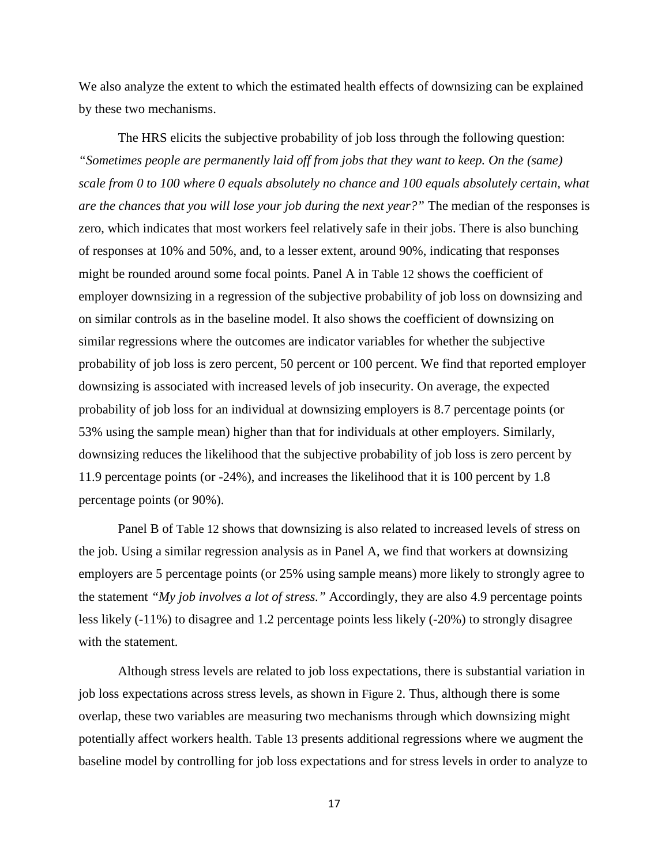We also analyze the extent to which the estimated health effects of downsizing can be explained by these two mechanisms.

The HRS elicits the subjective probability of job loss through the following question: *"Sometimes people are permanently laid off from jobs that they want to keep. On the (same) scale from 0 to 100 where 0 equals absolutely no chance and 100 equals absolutely certain, what are the chances that you will lose your job during the next year?"* The median of the responses is zero, which indicates that most workers feel relatively safe in their jobs. There is also bunching of responses at 10% and 50%, and, to a lesser extent, around 90%, indicating that responses might be rounded around some focal points. Panel A in [Table 12](#page-42-0) shows the coefficient of employer downsizing in a regression of the subjective probability of job loss on downsizing and on similar controls as in the baseline model. It also shows the coefficient of downsizing on similar regressions where the outcomes are indicator variables for whether the subjective probability of job loss is zero percent, 50 percent or 100 percent. We find that reported employer downsizing is associated with increased levels of job insecurity. On average, the expected probability of job loss for an individual at downsizing employers is 8.7 percentage points (or 53% using the sample mean) higher than that for individuals at other employers. Similarly, downsizing reduces the likelihood that the subjective probability of job loss is zero percent by 11.9 percentage points (or -24%), and increases the likelihood that it is 100 percent by 1.8 percentage points (or 90%).

Panel B of [Table 12](#page-42-0) shows that downsizing is also related to increased levels of stress on the job. Using a similar regression analysis as in Panel A, we find that workers at downsizing employers are 5 percentage points (or 25% using sample means) more likely to strongly agree to the statement *"My job involves a lot of stress."* Accordingly, they are also 4.9 percentage points less likely (-11%) to disagree and 1.2 percentage points less likely (-20%) to strongly disagree with the statement.

Although stress levels are related to job loss expectations, there is substantial variation in job loss expectations across stress levels, as shown in [Figure 2.](#page-28-0) Thus, although there is some overlap, these two variables are measuring two mechanisms through which downsizing might potentially affect workers health. [Table 13](#page-43-0) presents additional regressions where we augment the baseline model by controlling for job loss expectations and for stress levels in order to analyze to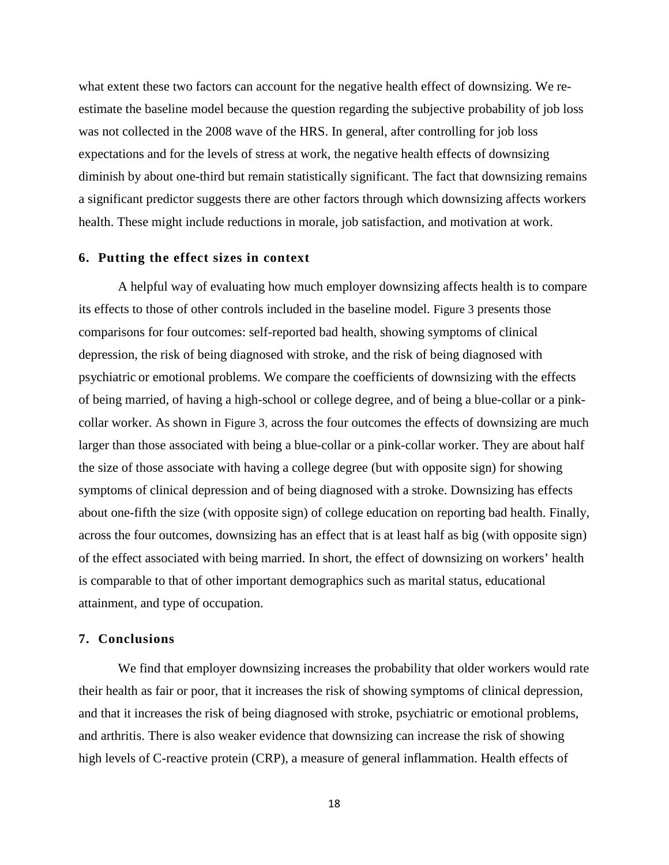what extent these two factors can account for the negative health effect of downsizing. We reestimate the baseline model because the question regarding the subjective probability of job loss was not collected in the 2008 wave of the HRS. In general, after controlling for job loss expectations and for the levels of stress at work, the negative health effects of downsizing diminish by about one-third but remain statistically significant. The fact that downsizing remains a significant predictor suggests there are other factors through which downsizing affects workers health. These might include reductions in morale, job satisfaction, and motivation at work.

#### **6. Putting the effect sizes in context**

A helpful way of evaluating how much employer downsizing affects health is to compare its effects to those of other controls included in the baseline model. [Figure 3](#page-29-0) presents those comparisons for four outcomes: self-reported bad health, showing symptoms of clinical depression, the risk of being diagnosed with stroke, and the risk of being diagnosed with psychiatric or emotional problems. We compare the coefficients of downsizing with the effects of being married, of having a high-school or college degree, and of being a blue-collar or a pinkcollar worker. As shown in [Figure 3,](#page-29-0) across the four outcomes the effects of downsizing are much larger than those associated with being a blue-collar or a pink-collar worker. They are about half the size of those associate with having a college degree (but with opposite sign) for showing symptoms of clinical depression and of being diagnosed with a stroke. Downsizing has effects about one-fifth the size (with opposite sign) of college education on reporting bad health. Finally, across the four outcomes, downsizing has an effect that is at least half as big (with opposite sign) of the effect associated with being married. In short, the effect of downsizing on workers' health is comparable to that of other important demographics such as marital status, educational attainment, and type of occupation.

#### **7. Conclusions**

We find that employer downsizing increases the probability that older workers would rate their health as fair or poor, that it increases the risk of showing symptoms of clinical depression, and that it increases the risk of being diagnosed with stroke, psychiatric or emotional problems, and arthritis. There is also weaker evidence that downsizing can increase the risk of showing high levels of C-reactive protein (CRP), a measure of general inflammation. Health effects of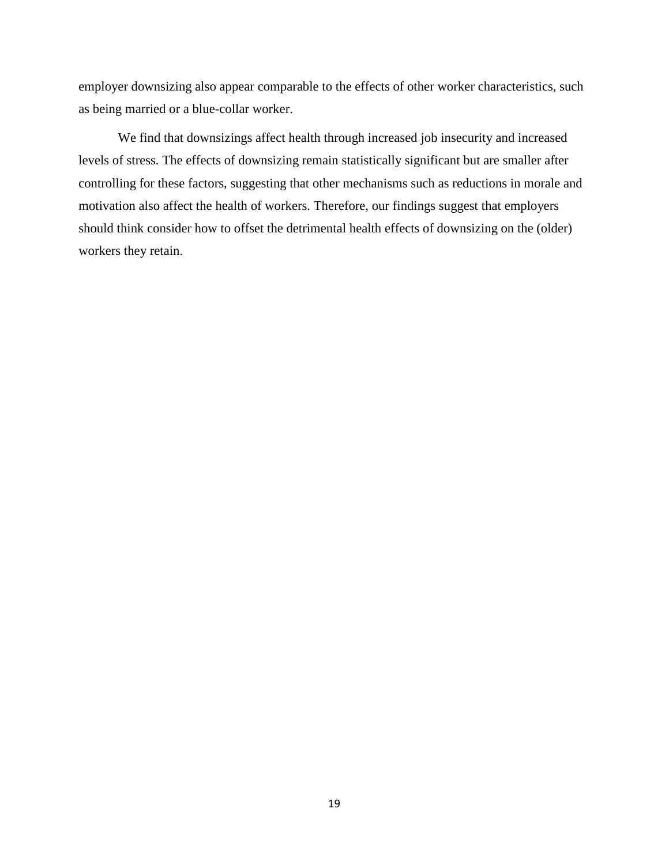employer downsizing also appear comparable to the effects of other worker characteristics, such as being married or a blue-collar worker.

We find that downsizings affect health through increased job insecurity and increased levels of stress. The effects of downsizing remain statistically significant but are smaller after controlling for these factors, suggesting that other mechanisms such as reductions in morale and motivation also affect the health of workers. Therefore, our findings suggest that employers should think consider how to offset the detrimental health effects of downsizing on the (older) workers they retain.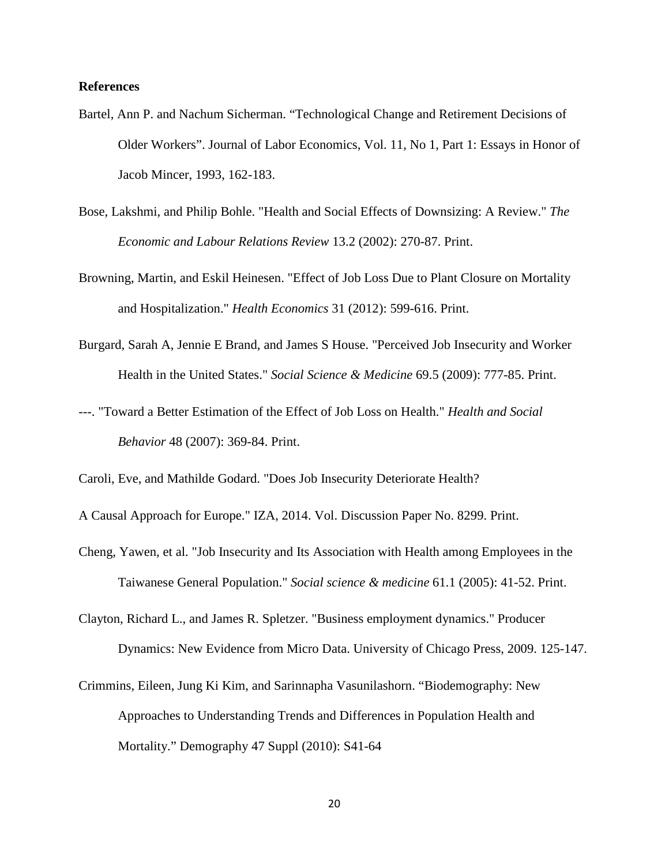#### **References**

- Bartel, Ann P. and Nachum Sicherman. "Technological Change and Retirement Decisions of Older Workers". Journal of Labor Economics, Vol. 11, No 1, Part 1: Essays in Honor of Jacob Mincer, 1993, 162-183.
- Bose, Lakshmi, and Philip Bohle. "Health and Social Effects of Downsizing: A Review." *The Economic and Labour Relations Review* 13.2 (2002): 270-87. Print.
- Browning, Martin, and Eskil Heinesen. "Effect of Job Loss Due to Plant Closure on Mortality and Hospitalization." *Health Economics* 31 (2012): 599-616. Print.
- Burgard, Sarah A, Jennie E Brand, and James S House. "Perceived Job Insecurity and Worker Health in the United States." *Social Science & Medicine* 69.5 (2009): 777-85. Print.
- ---. "Toward a Better Estimation of the Effect of Job Loss on Health." *Health and Social Behavior* 48 (2007): 369-84. Print.

- Cheng, Yawen, et al. "Job Insecurity and Its Association with Health among Employees in the Taiwanese General Population." *Social science & medicine* 61.1 (2005): 41-52. Print.
- Clayton, Richard L., and James R. Spletzer. "Business employment dynamics." Producer Dynamics: New Evidence from Micro Data. University of Chicago Press, 2009. 125-147.
- Crimmins, Eileen, Jung Ki Kim, and Sarinnapha Vasunilashorn. "Biodemography: New Approaches to Understanding Trends and Differences in Population Health and Mortality." Demography 47 Suppl (2010): S41-64

Caroli, Eve, and Mathilde Godard. "Does Job Insecurity Deteriorate Health?

A Causal Approach for Europe." IZA, 2014. Vol. Discussion Paper No. 8299. Print.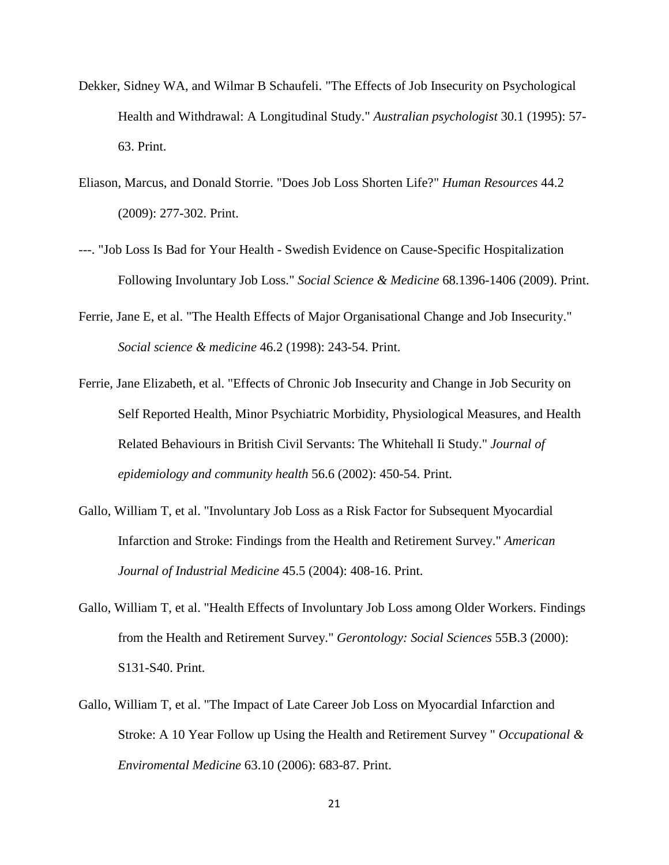- Dekker, Sidney WA, and Wilmar B Schaufeli. "The Effects of Job Insecurity on Psychological Health and Withdrawal: A Longitudinal Study." *Australian psychologist* 30.1 (1995): 57- 63. Print.
- Eliason, Marcus, and Donald Storrie. "Does Job Loss Shorten Life?" *Human Resources* 44.2 (2009): 277-302. Print.
- ---. "Job Loss Is Bad for Your Health Swedish Evidence on Cause-Specific Hospitalization Following Involuntary Job Loss." *Social Science & Medicine* 68.1396-1406 (2009). Print.
- Ferrie, Jane E, et al. "The Health Effects of Major Organisational Change and Job Insecurity." *Social science & medicine* 46.2 (1998): 243-54. Print.
- Ferrie, Jane Elizabeth, et al. "Effects of Chronic Job Insecurity and Change in Job Security on Self Reported Health, Minor Psychiatric Morbidity, Physiological Measures, and Health Related Behaviours in British Civil Servants: The Whitehall Ii Study." *Journal of epidemiology and community health* 56.6 (2002): 450-54. Print.
- Gallo, William T, et al. "Involuntary Job Loss as a Risk Factor for Subsequent Myocardial Infarction and Stroke: Findings from the Health and Retirement Survey." *American Journal of Industrial Medicine* 45.5 (2004): 408-16. Print.
- Gallo, William T, et al. "Health Effects of Involuntary Job Loss among Older Workers. Findings from the Health and Retirement Survey." *Gerontology: Social Sciences* 55B.3 (2000): S131-S40. Print.
- Gallo, William T, et al. "The Impact of Late Career Job Loss on Myocardial Infarction and Stroke: A 10 Year Follow up Using the Health and Retirement Survey " *Occupational & Enviromental Medicine* 63.10 (2006): 683-87. Print.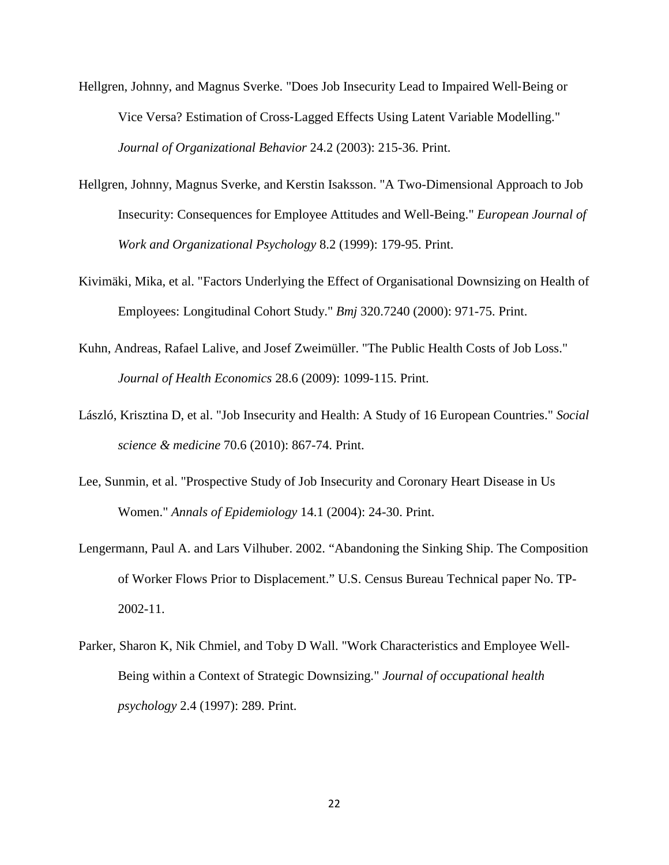- Hellgren, Johnny, and Magnus Sverke. "Does Job Insecurity Lead to Impaired Well‐Being or Vice Versa? Estimation of Cross‐Lagged Effects Using Latent Variable Modelling." *Journal of Organizational Behavior* 24.2 (2003): 215-36. Print.
- Hellgren, Johnny, Magnus Sverke, and Kerstin Isaksson. "A Two-Dimensional Approach to Job Insecurity: Consequences for Employee Attitudes and Well-Being." *European Journal of Work and Organizational Psychology* 8.2 (1999): 179-95. Print.
- Kivimäki, Mika, et al. "Factors Underlying the Effect of Organisational Downsizing on Health of Employees: Longitudinal Cohort Study." *Bmj* 320.7240 (2000): 971-75. Print.
- Kuhn, Andreas, Rafael Lalive, and Josef Zweimüller. "The Public Health Costs of Job Loss." *Journal of Health Economics* 28.6 (2009): 1099-115. Print.
- László, Krisztina D, et al. "Job Insecurity and Health: A Study of 16 European Countries." *Social science & medicine* 70.6 (2010): 867-74. Print.
- Lee, Sunmin, et al. "Prospective Study of Job Insecurity and Coronary Heart Disease in Us Women." *Annals of Epidemiology* 14.1 (2004): 24-30. Print.
- Lengermann, Paul A. and Lars Vilhuber. 2002. "Abandoning the Sinking Ship. The Composition of Worker Flows Prior to Displacement." U.S. Census Bureau Technical paper No. TP-2002-11.
- Parker, Sharon K, Nik Chmiel, and Toby D Wall. "Work Characteristics and Employee Well-Being within a Context of Strategic Downsizing." *Journal of occupational health psychology* 2.4 (1997): 289. Print.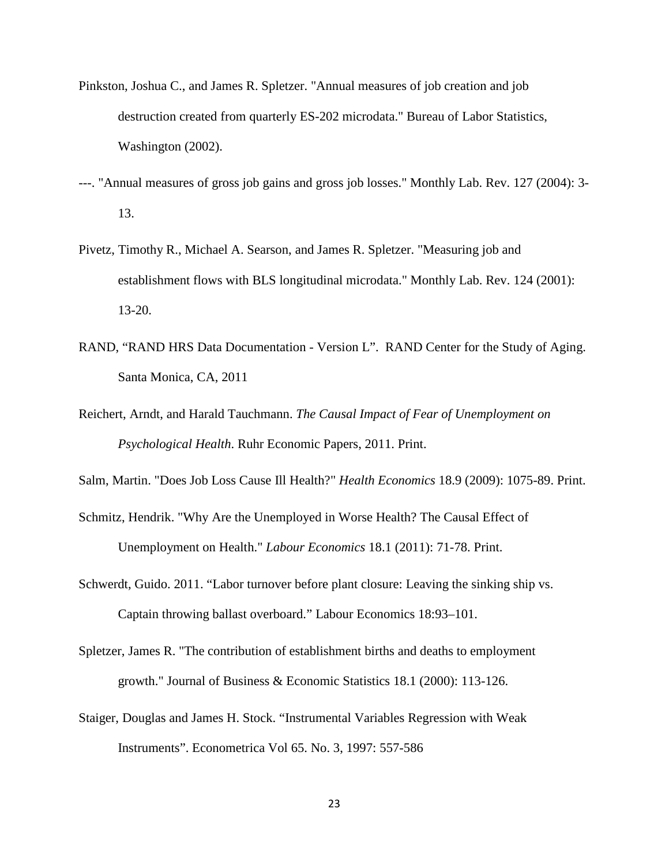- Pinkston, Joshua C., and James R. Spletzer. "Annual measures of job creation and job destruction created from quarterly ES-202 microdata." Bureau of Labor Statistics, Washington (2002).
- ---. "Annual measures of gross job gains and gross job losses." Monthly Lab. Rev. 127 (2004): 3- 13.
- Pivetz, Timothy R., Michael A. Searson, and James R. Spletzer. "Measuring job and establishment flows with BLS longitudinal microdata." Monthly Lab. Rev. 124 (2001): 13-20.
- RAND, "RAND HRS Data Documentation Version L". RAND Center for the Study of Aging. Santa Monica, CA, 2011
- Reichert, Arndt, and Harald Tauchmann. *The Causal Impact of Fear of Unemployment on Psychological Health*. Ruhr Economic Papers, 2011. Print.
- Salm, Martin. "Does Job Loss Cause Ill Health?" *Health Economics* 18.9 (2009): 1075-89. Print.
- Schmitz, Hendrik. "Why Are the Unemployed in Worse Health? The Causal Effect of Unemployment on Health." *Labour Economics* 18.1 (2011): 71-78. Print.
- Schwerdt, Guido. 2011. "Labor turnover before plant closure: Leaving the sinking ship vs. Captain throwing ballast overboard." Labour Economics 18:93–101.
- Spletzer, James R. "The contribution of establishment births and deaths to employment growth." Journal of Business & Economic Statistics 18.1 (2000): 113-126.
- Staiger, Douglas and James H. Stock. "Instrumental Variables Regression with Weak Instruments". Econometrica Vol 65. No. 3, 1997: 557-586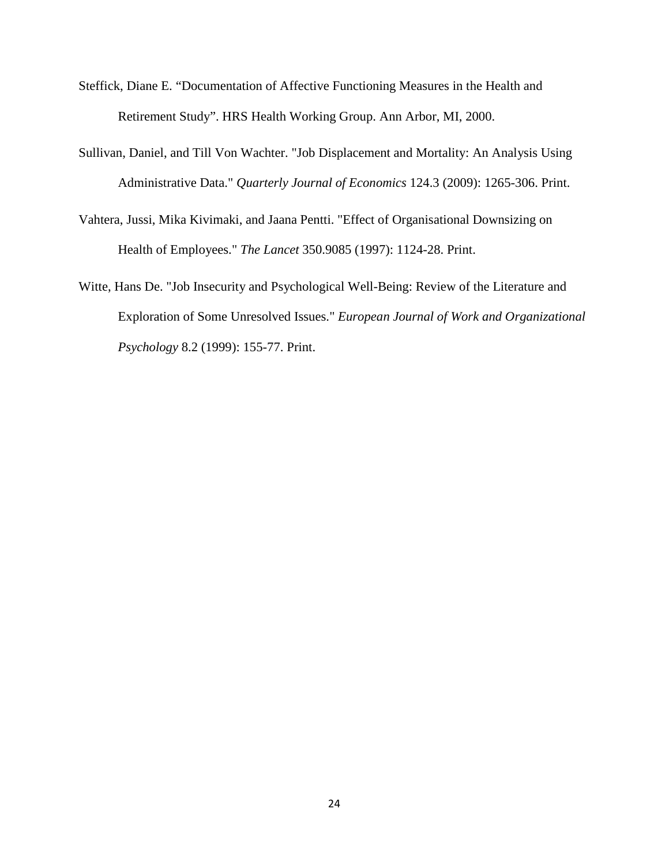- Steffick, Diane E. "Documentation of Affective Functioning Measures in the Health and Retirement Study". HRS Health Working Group. Ann Arbor, MI, 2000.
- Sullivan, Daniel, and Till Von Wachter. "Job Displacement and Mortality: An Analysis Using Administrative Data." *Quarterly Journal of Economics* 124.3 (2009): 1265-306. Print.
- Vahtera, Jussi, Mika Kivimaki, and Jaana Pentti. "Effect of Organisational Downsizing on Health of Employees." *The Lancet* 350.9085 (1997): 1124-28. Print.
- Witte, Hans De. "Job Insecurity and Psychological Well-Being: Review of the Literature and Exploration of Some Unresolved Issues." *European Journal of Work and Organizational Psychology* 8.2 (1999): 155-77. Print.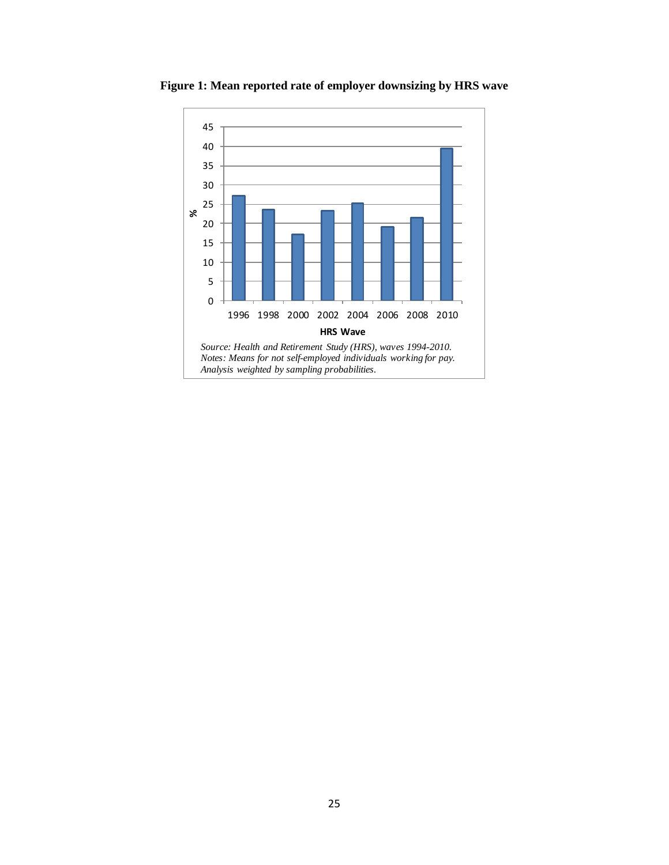

<span id="page-27-0"></span>**Figure 1: Mean reported rate of employer downsizing by HRS wave**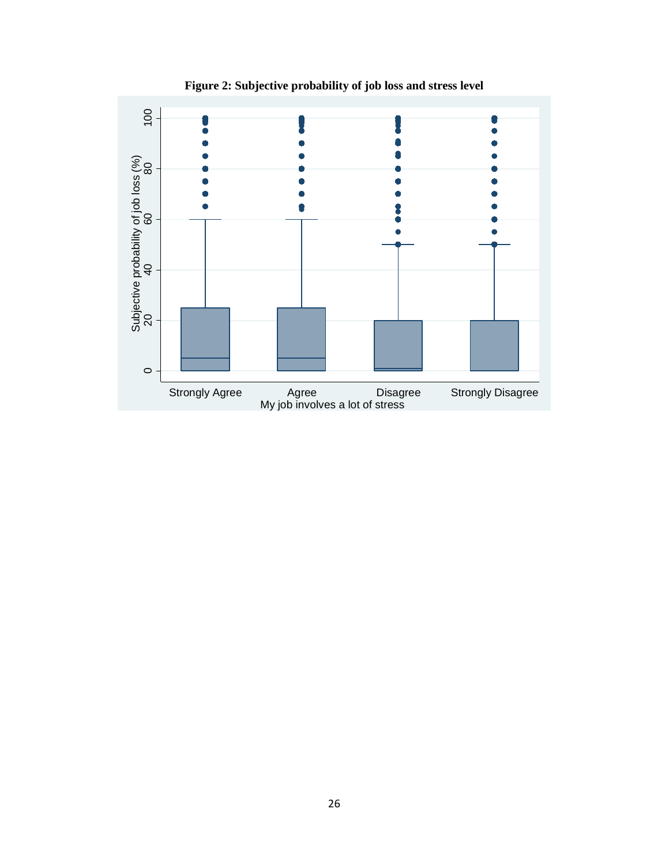<span id="page-28-0"></span>

**Figure 2: Subjective probability of job loss and stress level**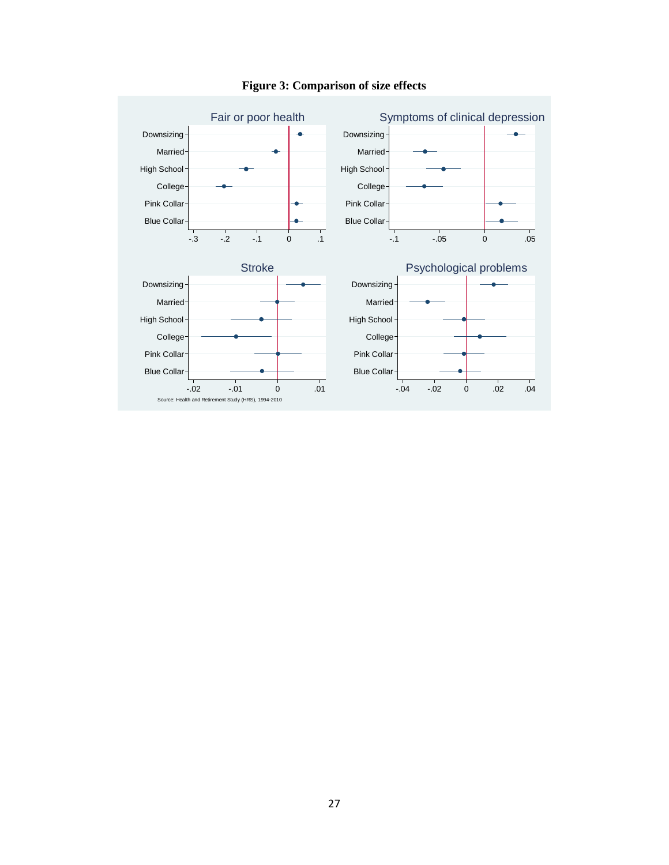<span id="page-29-0"></span>

### **Figure 3: Comparison of size effects**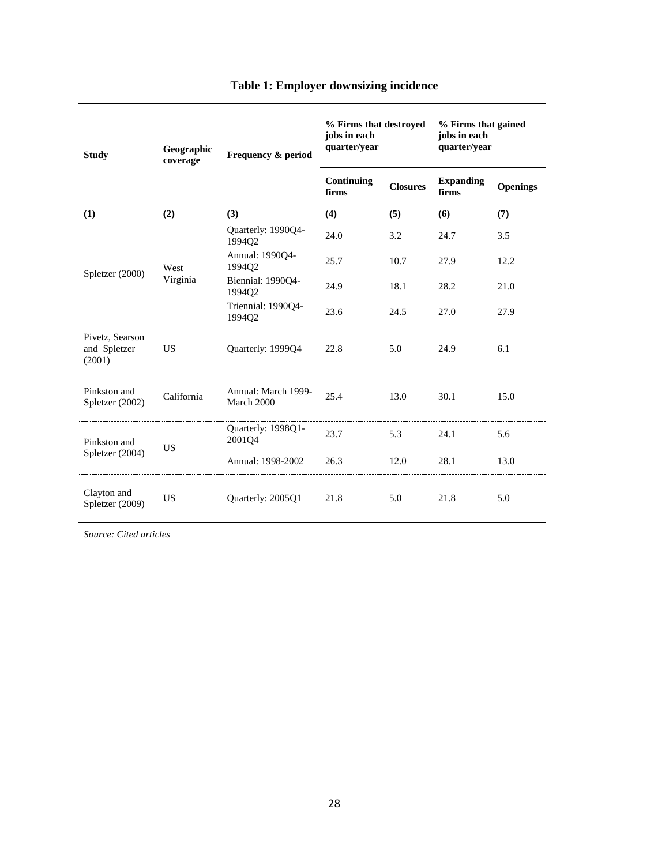<span id="page-30-0"></span>

| <b>Study</b>                              | Geographic<br>coverage      | Frequency & period                | % Firms that destroyed<br>jobs in each<br>quarter/year |                 | % Firms that gained<br>jobs in each<br>quarter/year |                 |
|-------------------------------------------|-----------------------------|-----------------------------------|--------------------------------------------------------|-----------------|-----------------------------------------------------|-----------------|
|                                           |                             |                                   | Continuing<br>firms                                    | <b>Closures</b> | <b>Expanding</b><br>firms                           | <b>Openings</b> |
| (1)                                       | (2)                         | (3)                               | (4)                                                    | (5)             | (6)                                                 | (7)             |
|                                           |                             | Quarterly: 1990Q4-<br>199402      | 24.0                                                   | 3.2             | 24.7                                                | 3.5             |
| West<br>Spletzer (2000)<br>Virginia       | Annual: 1990Q4-<br>1994Q2   | 25.7                              | 10.7                                                   | 27.9            | 12.2                                                |                 |
|                                           | Biennial: 1990Q4-<br>199402 | 24.9                              | 18.1                                                   | 28.2            | 21.0                                                |                 |
|                                           |                             | Triennial: 1990Q4-<br>1994Q2      | 23.6                                                   | 24.5            | 27.0                                                | 27.9            |
| Pivetz, Searson<br>and Spletzer<br>(2001) | <b>US</b>                   | Quarterly: 1999Q4                 | 22.8                                                   | 5.0             | 24.9                                                | 6.1             |
| Pinkston and<br>Spletzer (2002)           | California                  | Annual: March 1999-<br>March 2000 | 25.4                                                   | 13.0            | 30.1                                                | 15.0            |
| Pinkston and                              | <b>US</b>                   | Quarterly: 1998Q1-<br>2001Q4      | 23.7                                                   | 5.3             | 24.1                                                | 5.6             |
| Spletzer (2004)                           |                             | Annual: 1998-2002                 | 26.3                                                   | 12.0            | 28.1                                                | 13.0            |
| Clayton and<br>Spletzer (2009)            | <b>US</b>                   | Quarterly: 2005Q1                 | 21.8                                                   | 5.0             | 21.8                                                | 5.0             |

### **Table 1: Employer downsizing incidence**

*Source: Cited articles*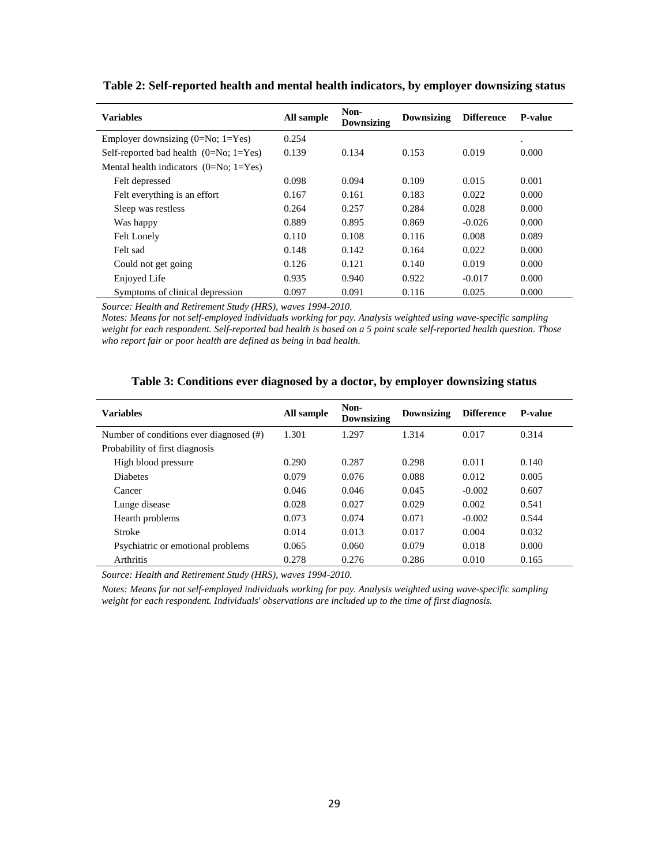| <b>Variables</b>                                    | All sample | Non-<br><b>Downsizing</b> | <b>Downsizing</b> | <b>Difference</b> | <b>P-value</b> |
|-----------------------------------------------------|------------|---------------------------|-------------------|-------------------|----------------|
| Employer downsizing $(0=N_0; 1=Y_{es})$             | 0.254      |                           |                   |                   | $\bullet$      |
| Self-reported bad health $(0=N_0; 1=Y_{\text{es}})$ | 0.139      | 0.134                     | 0.153             | 0.019             | 0.000          |
| Mental health indicators $(0=N_0; 1=Y_{\text{es}})$ |            |                           |                   |                   |                |
| Felt depressed                                      | 0.098      | 0.094                     | 0.109             | 0.015             | 0.001          |
| Felt everything is an effort                        | 0.167      | 0.161                     | 0.183             | 0.022             | 0.000          |
| Sleep was restless                                  | 0.264      | 0.257                     | 0.284             | 0.028             | 0.000          |
| Was happy                                           | 0.889      | 0.895                     | 0.869             | $-0.026$          | 0.000          |
| <b>Felt Lonely</b>                                  | 0.110      | 0.108                     | 0.116             | 0.008             | 0.089          |
| Felt sad                                            | 0.148      | 0.142                     | 0.164             | 0.022             | 0.000          |
| Could not get going                                 | 0.126      | 0.121                     | 0.140             | 0.019             | 0.000          |
| Enjoyed Life                                        | 0.935      | 0.940                     | 0.922             | $-0.017$          | 0.000          |
| Symptoms of clinical depression                     | 0.097      | 0.091                     | 0.116             | 0.025             | 0.000          |

<span id="page-31-0"></span>**Table 2: Self-reported health and mental health indicators, by employer downsizing status**

*Source: Health and Retirement Study (HRS), waves 1994-2010.*

*Notes: Means for not self-employed individuals working for pay. Analysis weighted using wave-specific sampling weight for each respondent. Self-reported bad health is based on a 5 point scale self-reported health question. Those who report fair or poor health are defined as being in bad health.*

<span id="page-31-1"></span>

| <b>Variables</b>                        | All sample | Non-<br>Downsizing | Downsizing | <b>Difference</b> | <b>P-value</b> |
|-----------------------------------------|------------|--------------------|------------|-------------------|----------------|
| Number of conditions ever diagnosed (#) | 1.301      | 1.297              | 1.314      | 0.017             | 0.314          |
| Probability of first diagnosis          |            |                    |            |                   |                |
| High blood pressure                     | 0.290      | 0.287              | 0.298      | 0.011             | 0.140          |
| <b>Diabetes</b>                         | 0.079      | 0.076              | 0.088      | 0.012             | 0.005          |
| Cancer                                  | 0.046      | 0.046              | 0.045      | $-0.002$          | 0.607          |
| Lunge disease                           | 0.028      | 0.027              | 0.029      | 0.002             | 0.541          |
| Hearth problems                         | 0.073      | 0.074              | 0.071      | $-0.002$          | 0.544          |
| Stroke                                  | 0.014      | 0.013              | 0.017      | 0.004             | 0.032          |
| Psychiatric or emotional problems       | 0.065      | 0.060              | 0.079      | 0.018             | 0.000          |
| Arthritis                               | 0.278      | 0.276              | 0.286      | 0.010             | 0.165          |

#### **Table 3: Conditions ever diagnosed by a doctor, by employer downsizing status**

*Source: Health and Retirement Study (HRS), waves 1994-2010.*

*Notes: Means for not self-employed individuals working for pay. Analysis weighted using wave-specific sampling weight for each respondent. Individuals' observations are included up to the time of first diagnosis.*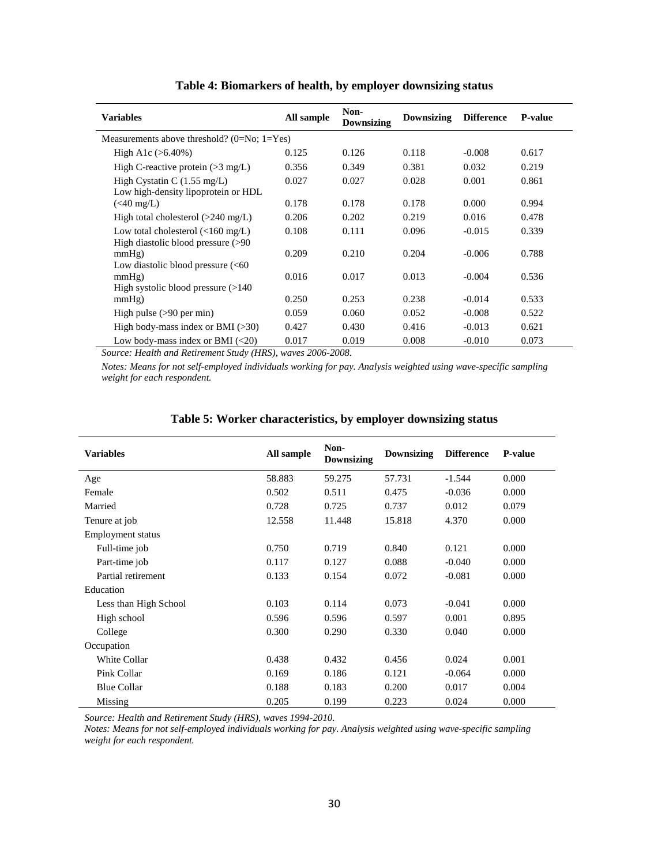<span id="page-32-2"></span><span id="page-32-0"></span>

| <b>Variables</b>                                                                  | All sample | Non-<br><b>Downsizing</b> | Downsizing | <b>Difference</b> | <b>P-value</b> |
|-----------------------------------------------------------------------------------|------------|---------------------------|------------|-------------------|----------------|
| Measurements above threshold? $(0=N_0; 1=Y_{es})$                                 |            |                           |            |                   |                |
| High A1c $(>6.40\%)$                                                              | 0.125      | 0.126                     | 0.118      | $-0.008$          | 0.617          |
| High C-reactive protein $(>3 \text{ mg/L})$                                       | 0.356      | 0.349                     | 0.381      | 0.032             | 0.219          |
| High Cystatin C $(1.55 \text{ mg/L})$<br>Low high-density lipoprotein or HDL      | 0.027      | 0.027                     | 0.028      | 0.001             | 0.861          |
| $(40 \text{ mg/L})$                                                               | 0.178      | 0.178                     | 0.178      | 0.000             | 0.994          |
| High total cholesterol $(>240 \text{ mg/L})$                                      | 0.206      | 0.202                     | 0.219      | 0.016             | 0.478          |
| Low total cholesterol $\left($ <160 mg/L)<br>High diastolic blood pressure $(>90$ | 0.108      | 0.111                     | 0.096      | $-0.015$          | 0.339          |
| mmHg)<br>Low diastolic blood pressure $(< 60$                                     | 0.209      | 0.210                     | 0.204      | $-0.006$          | 0.788          |
| mmHg)<br>High systolic blood pressure $(>140$                                     | 0.016      | 0.017                     | 0.013      | $-0.004$          | 0.536          |
| mmHg)                                                                             | 0.250      | 0.253                     | 0.238      | $-0.014$          | 0.533          |
| High pulse $(>90$ per min)                                                        | 0.059      | 0.060                     | 0.052      | $-0.008$          | 0.522          |
| High body-mass index or BMI $(>30)$                                               | 0.427      | 0.430                     | 0.416      | $-0.013$          | 0.621          |
| Low body-mass index or BMI $(\leq 20)$                                            | 0.017      | 0.019                     | 0.008      | $-0.010$          | 0.073          |

#### **Table 4: Biomarkers of health, by employer downsizing status**

*Source: Health and Retirement Study (HRS), waves 2006-2008.*

*Notes: Means for not self-employed individuals working for pay. Analysis weighted using wave-specific sampling weight for each respondent.*

<span id="page-32-1"></span>

| <b>Variables</b>      | All sample | Non-<br><b>Downsizing</b> | <b>Downsizing</b> | <b>Difference</b> | <b>P-value</b> |
|-----------------------|------------|---------------------------|-------------------|-------------------|----------------|
| Age                   | 58.883     | 59.275                    | 57.731            | $-1.544$          | 0.000          |
| Female                | 0.502      | 0.511                     | 0.475             | $-0.036$          | 0.000          |
| Married               | 0.728      | 0.725                     | 0.737             | 0.012             | 0.079          |
| Tenure at job         | 12.558     | 11.448                    | 15.818            | 4.370             | 0.000          |
| Employment status     |            |                           |                   |                   |                |
| Full-time job         | 0.750      | 0.719                     | 0.840             | 0.121             | 0.000          |
| Part-time job         | 0.117      | 0.127                     | 0.088             | $-0.040$          | 0.000          |
| Partial retirement    | 0.133      | 0.154                     | 0.072             | $-0.081$          | 0.000          |
| Education             |            |                           |                   |                   |                |
| Less than High School | 0.103      | 0.114                     | 0.073             | $-0.041$          | 0.000          |
| High school           | 0.596      | 0.596                     | 0.597             | 0.001             | 0.895          |
| College               | 0.300      | 0.290                     | 0.330             | 0.040             | 0.000          |
| Occupation            |            |                           |                   |                   |                |
| <b>White Collar</b>   | 0.438      | 0.432                     | 0.456             | 0.024             | 0.001          |
| Pink Collar           | 0.169      | 0.186                     | 0.121             | $-0.064$          | 0.000          |
| <b>Blue Collar</b>    | 0.188      | 0.183                     | 0.200             | 0.017             | 0.004          |
| Missing               | 0.205      | 0.199                     | 0.223             | 0.024             | 0.000          |

#### **Table 5: Worker characteristics, by employer downsizing status**

*Source: Health and Retirement Study (HRS), waves 1994-2010.*

*Notes: Means for not self-employed individuals working for pay. Analysis weighted using wave-specific sampling weight for each respondent.*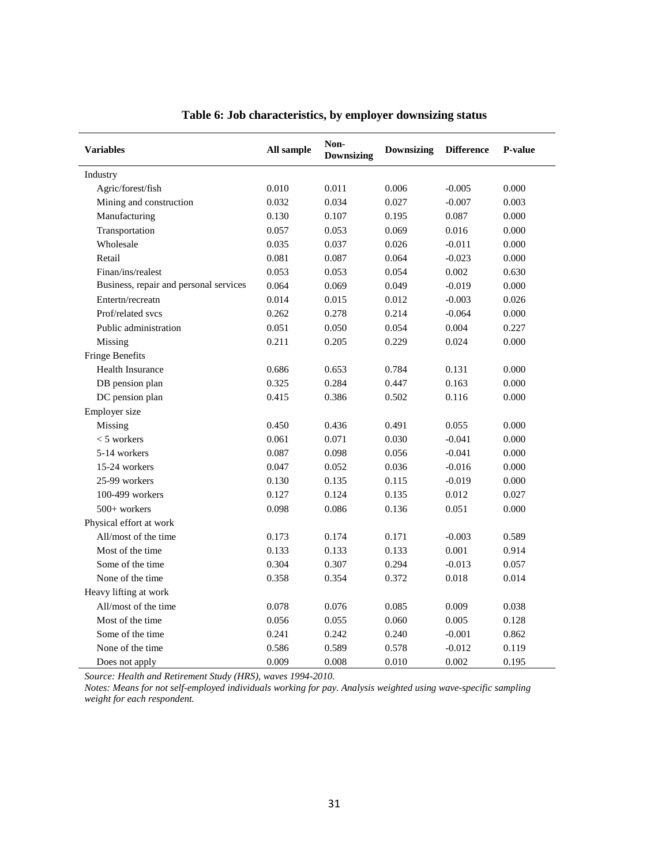<span id="page-33-0"></span>

| <b>Variables</b>                       | All sample | Non-<br><b>Downsizing</b> | <b>Downsizing</b> |          | <b>P-value</b> |
|----------------------------------------|------------|---------------------------|-------------------|----------|----------------|
| Industry                               |            |                           |                   |          |                |
| Agric/forest/fish                      | 0.010      | 0.011                     | 0.006             | $-0.005$ | 0.000          |
| Mining and construction                | 0.032      | 0.034                     | 0.027             | $-0.007$ | 0.003          |
| Manufacturing                          | 0.130      | 0.107                     | 0.195             | 0.087    | 0.000          |
| Transportation                         | 0.057      | 0.053                     | 0.069             | 0.016    | 0.000          |
| Wholesale                              | 0.035      | 0.037                     | 0.026             | $-0.011$ | 0.000          |
| Retail                                 | 0.081      | 0.087                     | 0.064             | $-0.023$ | 0.000          |
| Finan/ins/realest                      | 0.053      | 0.053                     | 0.054             | 0.002    | 0.630          |
| Business, repair and personal services | 0.064      | 0.069                     | 0.049             | $-0.019$ | 0.000          |
| Entertn/recreatn                       | 0.014      | 0.015                     | 0.012             | $-0.003$ | 0.026          |
| Prof/related svcs                      | 0.262      | 0.278                     | 0.214             | $-0.064$ | 0.000          |
| Public administration                  | 0.051      | 0.050                     | 0.054             | 0.004    | 0.227          |
| Missing                                | 0.211      | 0.205                     | 0.229             | 0.024    | 0.000          |
| <b>Fringe Benefits</b>                 |            |                           |                   |          |                |
| Health Insurance                       | 0.686      | 0.653                     | 0.784             | 0.131    | 0.000          |
| DB pension plan                        | 0.325      | 0.284                     | 0.447             | 0.163    | 0.000          |
| DC pension plan                        | 0.415      | 0.386                     | 0.502             | 0.116    | 0.000          |
| Employer size                          |            |                           |                   |          |                |
| Missing                                | 0.450      | 0.436                     | 0.491             | 0.055    | 0.000          |
| $<$ 5 workers                          | 0.061      | 0.071                     | 0.030             | $-0.041$ | 0.000          |
| 5-14 workers                           | 0.087      | 0.098                     | 0.056             | $-0.041$ | 0.000          |
| 15-24 workers                          | 0.047      | 0.052                     | 0.036             | $-0.016$ | 0.000          |
| 25-99 workers                          | 0.130      | 0.135                     | 0.115             | $-0.019$ | 0.000          |
| 100-499 workers                        | 0.127      | 0.124                     | 0.135             | 0.012    | 0.027          |
| 500+ workers                           | 0.098      | 0.086                     | 0.136             | 0.051    | 0.000          |
| Physical effort at work                |            |                           |                   |          |                |
| All/most of the time                   | 0.173      | 0.174                     | 0.171             | $-0.003$ | 0.589          |
| Most of the time                       | 0.133      | 0.133                     | 0.133             | 0.001    | 0.914          |
| Some of the time                       | 0.304      | 0.307                     | 0.294             | $-0.013$ | 0.057          |
| None of the time                       | 0.358      | 0.354                     | 0.372             | 0.018    | 0.014          |
| Heavy lifting at work                  |            |                           |                   |          |                |
| All/most of the time                   | 0.078      | 0.076                     | 0.085             | 0.009    | 0.038          |
| Most of the time                       | 0.056      | 0.055                     | 0.060             | 0.005    | 0.128          |
| Some of the time                       | 0.241      | 0.242                     | 0.240             | $-0.001$ | 0.862          |
| None of the time                       | 0.586      | 0.589                     | 0.578             | $-0.012$ | 0.119          |
| Does not apply                         | 0.009      | 0.008                     | 0.010             | 0.002    | 0.195          |

#### **Table 6: Job characteristics, by employer downsizing status**

*Source: Health and Retirement Study (HRS), waves 1994-2010.*

*Notes: Means for not self-employed individuals working for pay. Analysis weighted using wave-specific sampling weight for each respondent.*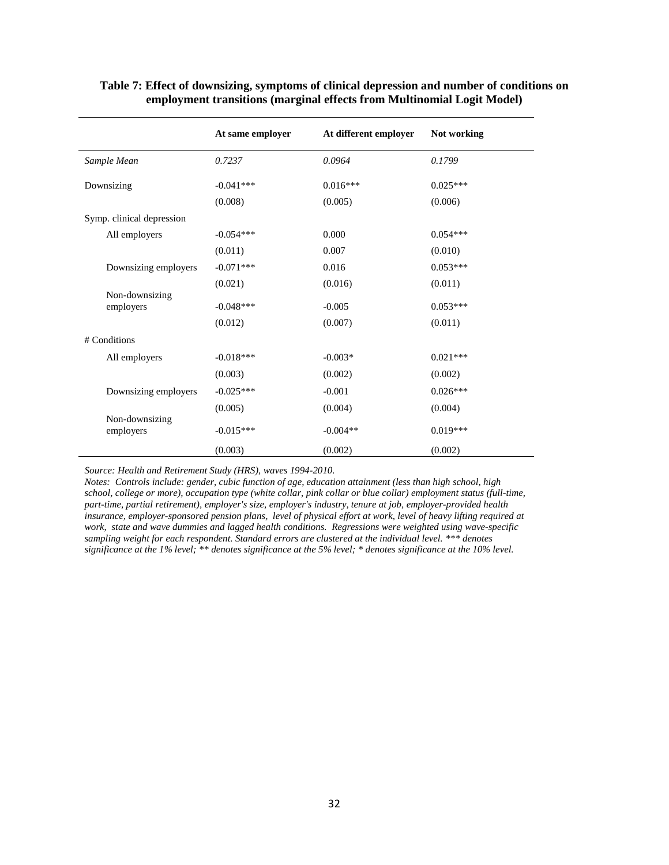|                             | At same employer | At different employer | Not working |
|-----------------------------|------------------|-----------------------|-------------|
| Sample Mean                 | 0.7237           | 0.0964                | 0.1799      |
| Downsizing                  | $-0.041***$      | $0.016***$            | $0.025***$  |
|                             | (0.008)          | (0.005)               | (0.006)     |
| Symp. clinical depression   |                  |                       |             |
| All employers               | $-0.054***$      | 0.000                 | $0.054***$  |
|                             | (0.011)          | 0.007                 | (0.010)     |
| Downsizing employers        | $-0.071***$      | 0.016                 | $0.053***$  |
|                             | (0.021)          | (0.016)               | (0.011)     |
| Non-downsizing<br>employers | $-0.048***$      | $-0.005$              | $0.053***$  |
|                             | (0.012)          | (0.007)               | (0.011)     |
| # Conditions                |                  |                       |             |
| All employers               | $-0.018***$      | $-0.003*$             | $0.021***$  |
|                             | (0.003)          | (0.002)               | (0.002)     |
| Downsizing employers        | $-0.025***$      | $-0.001$              | $0.026***$  |
|                             | (0.005)          | (0.004)               | (0.004)     |
| Non-downsizing<br>employers | $-0.015***$      | $-0.004**$            | $0.019***$  |
|                             | (0.003)          | (0.002)               | (0.002)     |

#### <span id="page-34-0"></span>**Table 7: Effect of downsizing, symptoms of clinical depression and number of conditions on employment transitions (marginal effects from Multinomial Logit Model)**

*Source: Health and Retirement Study (HRS), waves 1994-2010.*

*Notes: Controls include: gender, cubic function of age, education attainment (less than high school, high school, college or more), occupation type (white collar, pink collar or blue collar) employment status (full-time, part-time, partial retirement), employer's size, employer's industry, tenure at job, employer-provided health insurance, employer-sponsored pension plans, level of physical effort at work, level of heavy lifting required at work, state and wave dummies and lagged health conditions. Regressions were weighted using wave-specific sampling weight for each respondent. Standard errors are clustered at the individual level. \*\*\* denotes significance at the 1% level; \*\* denotes significance at the 5% level; \* denotes significance at the 10% level.*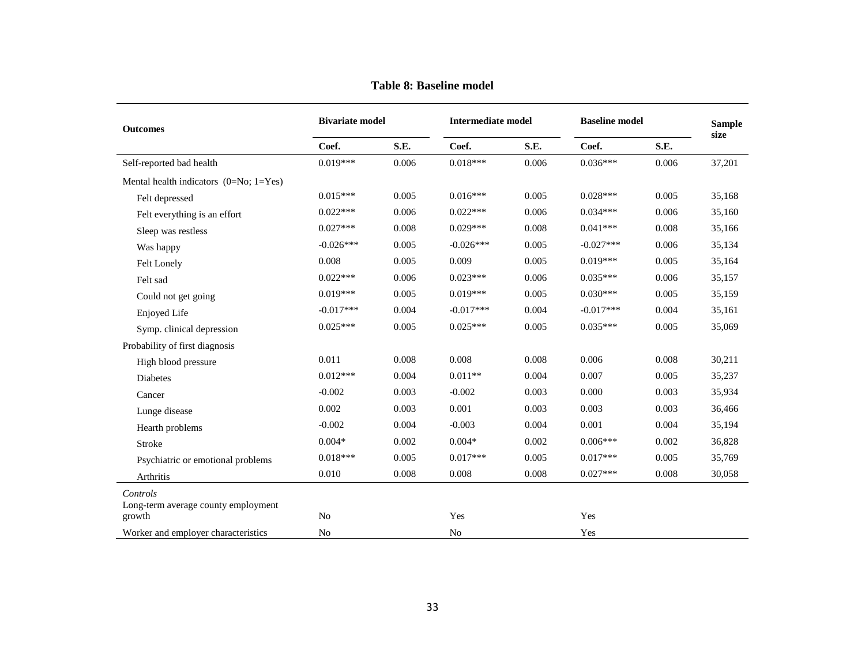<span id="page-35-0"></span>

| <b>Outcomes</b>                               | <b>Bivariate model</b> |       |             | <b>Intermediate model</b> |             | <b>Baseline model</b> |        |
|-----------------------------------------------|------------------------|-------|-------------|---------------------------|-------------|-----------------------|--------|
|                                               | Coef.                  | S.E.  | Coef.       | S.E.                      | Coef.       | S.E.                  | size   |
| Self-reported bad health                      | $0.019***$             | 0.006 | $0.018***$  | 0.006                     | $0.036***$  | 0.006                 | 37,201 |
| Mental health indicators $(0=N_0; 1=Y_{es})$  |                        |       |             |                           |             |                       |        |
| Felt depressed                                | $0.015***$             | 0.005 | $0.016***$  | 0.005                     | $0.028***$  | 0.005                 | 35,168 |
| Felt everything is an effort                  | $0.022***$             | 0.006 | $0.022***$  | 0.006                     | $0.034***$  | 0.006                 | 35,160 |
| Sleep was restless                            | $0.027***$             | 0.008 | $0.029***$  | 0.008                     | $0.041***$  | 0.008                 | 35,166 |
| Was happy                                     | $-0.026***$            | 0.005 | $-0.026***$ | 0.005                     | $-0.027***$ | 0.006                 | 35,134 |
| Felt Lonely                                   | 0.008                  | 0.005 | 0.009       | 0.005                     | $0.019***$  | 0.005                 | 35,164 |
| Felt sad                                      | $0.022***$             | 0.006 | $0.023***$  | 0.006                     | $0.035***$  | 0.006                 | 35,157 |
| Could not get going                           | $0.019***$             | 0.005 | $0.019***$  | 0.005                     | $0.030***$  | 0.005                 | 35,159 |
| Enjoyed Life                                  | $-0.017***$            | 0.004 | $-0.017***$ | 0.004                     | $-0.017***$ | 0.004                 | 35,161 |
| Symp. clinical depression                     | $0.025***$             | 0.005 | $0.025***$  | 0.005                     | $0.035***$  | 0.005                 | 35,069 |
| Probability of first diagnosis                |                        |       |             |                           |             |                       |        |
| High blood pressure                           | 0.011                  | 0.008 | 0.008       | 0.008                     | 0.006       | 0.008                 | 30,211 |
| <b>Diabetes</b>                               | $0.012***$             | 0.004 | $0.011**$   | 0.004                     | 0.007       | 0.005                 | 35,237 |
| Cancer                                        | $-0.002$               | 0.003 | $-0.002$    | 0.003                     | 0.000       | 0.003                 | 35,934 |
| Lunge disease                                 | 0.002                  | 0.003 | 0.001       | 0.003                     | 0.003       | 0.003                 | 36,466 |
| Hearth problems                               | $-0.002$               | 0.004 | $-0.003$    | 0.004                     | 0.001       | 0.004                 | 35,194 |
| Stroke                                        | $0.004*$               | 0.002 | $0.004*$    | 0.002                     | $0.006***$  | 0.002                 | 36,828 |
| Psychiatric or emotional problems             | $0.018***$             | 0.005 | $0.017***$  | 0.005                     | $0.017***$  | 0.005                 | 35,769 |
| Arthritis                                     | 0.010                  | 0.008 | 0.008       | 0.008                     | $0.027***$  | 0.008                 | 30,058 |
| Controls                                      |                        |       |             |                           |             |                       |        |
| Long-term average county employment<br>growth | N <sub>0</sub>         |       | Yes         |                           | Yes         |                       |        |
| Worker and employer characteristics           | N <sub>o</sub>         |       | No          |                           | Yes         |                       |        |

**Table 8: Baseline model**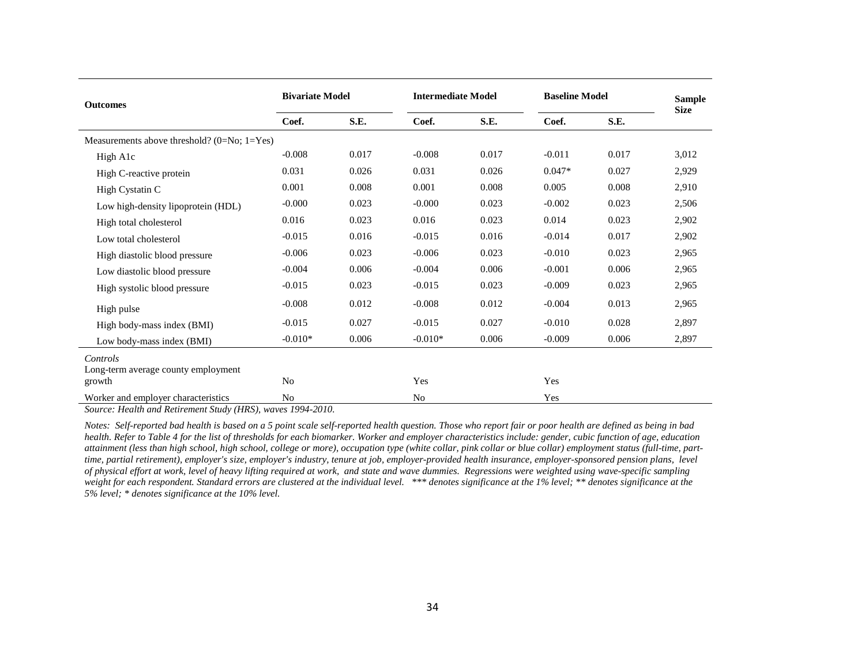| <b>Outcomes</b>                                           | <b>Bivariate Model</b> |       |           | <b>Intermediate Model</b> |          | <b>Baseline Model</b> |             |
|-----------------------------------------------------------|------------------------|-------|-----------|---------------------------|----------|-----------------------|-------------|
|                                                           | Coef.                  | S.E.  | Coef.     | S.E.                      | Coef.    | S.E.                  | <b>Size</b> |
| Measurements above threshold? $(0=No; 1=Yes)$             |                        |       |           |                           |          |                       |             |
| High A1c                                                  | $-0.008$               | 0.017 | $-0.008$  | 0.017                     | $-0.011$ | 0.017                 | 3,012       |
| High C-reactive protein                                   | 0.031                  | 0.026 | 0.031     | 0.026                     | $0.047*$ | 0.027                 | 2,929       |
| High Cystatin C                                           | 0.001                  | 0.008 | 0.001     | 0.008                     | 0.005    | 0.008                 | 2,910       |
| Low high-density lipoprotein (HDL)                        | $-0.000$               | 0.023 | $-0.000$  | 0.023                     | $-0.002$ | 0.023                 | 2,506       |
| High total cholesterol                                    | 0.016                  | 0.023 | 0.016     | 0.023                     | 0.014    | 0.023                 | 2,902       |
| Low total cholesterol                                     | $-0.015$               | 0.016 | $-0.015$  | 0.016                     | $-0.014$ | 0.017                 | 2,902       |
| High diastolic blood pressure                             | $-0.006$               | 0.023 | $-0.006$  | 0.023                     | $-0.010$ | 0.023                 | 2,965       |
| Low diastolic blood pressure                              | $-0.004$               | 0.006 | $-0.004$  | 0.006                     | $-0.001$ | 0.006                 | 2,965       |
| High systolic blood pressure                              | $-0.015$               | 0.023 | $-0.015$  | 0.023                     | $-0.009$ | 0.023                 | 2,965       |
| High pulse                                                | $-0.008$               | 0.012 | $-0.008$  | 0.012                     | $-0.004$ | 0.013                 | 2,965       |
| High body-mass index (BMI)                                | $-0.015$               | 0.027 | $-0.015$  | 0.027                     | $-0.010$ | 0.028                 | 2,897       |
| Low body-mass index (BMI)                                 | $-0.010*$              | 0.006 | $-0.010*$ | 0.006                     | $-0.009$ | 0.006                 | 2,897       |
| Controls<br>Long-term average county employment<br>growth | No                     |       | Yes       |                           | Yes      |                       |             |
| Worker and employer characteristics                       | N <sub>o</sub>         |       | No        |                           | Yes      |                       |             |

*Source: Health and Retirement Study (HRS), waves 1994-2010.*

*Notes: Self-reported bad health is based on a 5 point scale self-reported health question. Those who report fair or poor health are defined as being in bad health. Refer t[o Table 4](#page-32-2) for the list of thresholds for each biomarker. Worker and employer characteristics include: gender, cubic function of age, education attainment (less than high school, high school, college or more), occupation type (white collar, pink collar or blue collar) employment status (full-time, parttime, partial retirement), employer's size, employer's industry, tenure at job, employer-provided health insurance, employer-sponsored pension plans, level of physical effort at work, level of heavy lifting required at work, and state and wave dummies. Regressions were weighted using wave-specific sampling*  weight for each respondent. Standard errors are clustered at the individual level. \*\*\* denotes significance at the and the l<sup>96</sup> level; \*\* denotes significance at the *5% level; \* denotes significance at the 10% level.*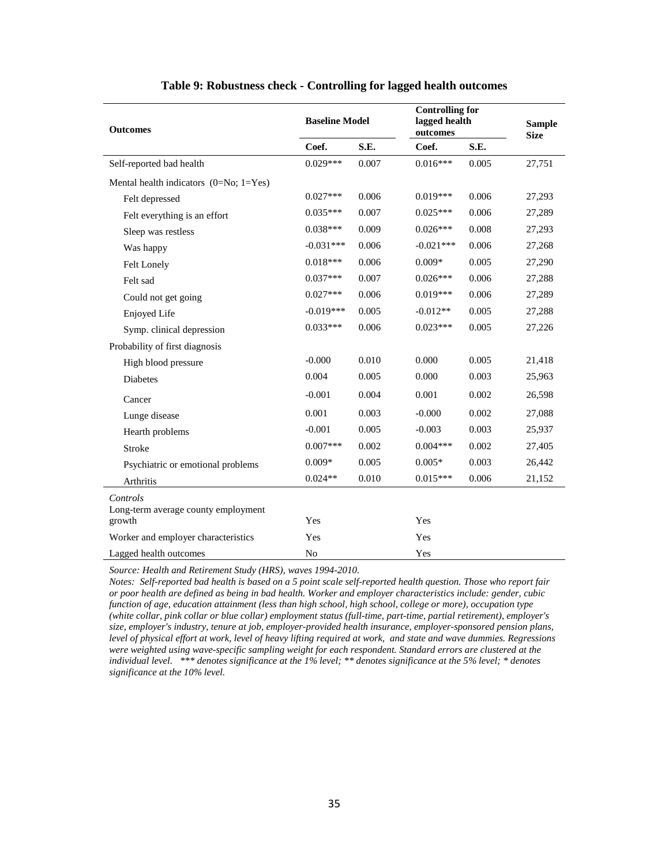<span id="page-37-0"></span>

| <b>Outcomes</b>                               | <b>Baseline Model</b> |       | <b>Controlling for</b><br>lagged health<br>outcomes | <b>Sample</b><br><b>Size</b> |        |
|-----------------------------------------------|-----------------------|-------|-----------------------------------------------------|------------------------------|--------|
|                                               | Coef.                 | S.E.  | Coef.                                               | S.E.                         |        |
| Self-reported bad health                      | $0.029***$            | 0.007 | $0.016***$                                          | 0.005                        | 27,751 |
| Mental health indicators $(0=N_0; 1=Y_{es})$  |                       |       |                                                     |                              |        |
| Felt depressed                                | $0.027***$            | 0.006 | $0.019***$                                          | 0.006                        | 27,293 |
| Felt everything is an effort                  | $0.035***$            | 0.007 | $0.025***$                                          | 0.006                        | 27,289 |
| Sleep was restless                            | $0.038***$            | 0.009 | $0.026***$                                          | 0.008                        | 27,293 |
| Was happy                                     | $-0.031***$           | 0.006 | $-0.021***$                                         | 0.006                        | 27,268 |
| Felt Lonely                                   | $0.018***$            | 0.006 | $0.009*$                                            | 0.005                        | 27,290 |
| Felt sad                                      | $0.037***$            | 0.007 | $0.026***$                                          | 0.006                        | 27,288 |
| Could not get going                           | $0.027***$            | 0.006 | $0.019***$                                          | 0.006                        | 27,289 |
| Enjoyed Life                                  | $-0.019***$           | 0.005 | $-0.012**$                                          | 0.005                        | 27,288 |
| Symp. clinical depression                     | $0.033***$            | 0.006 | $0.023***$                                          | 0.005                        | 27,226 |
| Probability of first diagnosis                |                       |       |                                                     |                              |        |
| High blood pressure                           | $-0.000$              | 0.010 | 0.000                                               | 0.005                        | 21,418 |
| Diabetes                                      | 0.004                 | 0.005 | 0.000                                               | 0.003                        | 25,963 |
| Cancer                                        | $-0.001$              | 0.004 | 0.001                                               | 0.002                        | 26,598 |
| Lunge disease                                 | 0.001                 | 0.003 | $-0.000$                                            | 0.002                        | 27,088 |
| Hearth problems                               | $-0.001$              | 0.005 | $-0.003$                                            | 0.003                        | 25,937 |
| Stroke                                        | $0.007***$            | 0.002 | $0.004***$                                          | 0.002                        | 27,405 |
| Psychiatric or emotional problems             | $0.009*$              | 0.005 | $0.005*$                                            | 0.003                        | 26,442 |
| Arthritis                                     | $0.024**$             | 0.010 | $0.015***$                                          | 0.006                        | 21,152 |
| Controls                                      |                       |       |                                                     |                              |        |
| Long-term average county employment<br>growth | Yes                   |       | Yes                                                 |                              |        |
| Worker and employer characteristics           | Yes                   |       | Yes                                                 |                              |        |
| Lagged health outcomes                        | N <sub>o</sub>        |       | Yes                                                 |                              |        |

#### **Table 9: Robustness check - Controlling for lagged health outcomes**

*Source: Health and Retirement Study (HRS), waves 1994-2010.*

*Notes: Self-reported bad health is based on a 5 point scale self-reported health question. Those who report fair or poor health are defined as being in bad health. Worker and employer characteristics include: gender, cubic function of age, education attainment (less than high school, high school, college or more), occupation type (white collar, pink collar or blue collar) employment status (full-time, part-time, partial retirement), employer's size, employer's industry, tenure at job, employer-provided health insurance, employer-sponsored pension plans, level of physical effort at work, level of heavy lifting required at work, and state and wave dummies. Regressions were weighted using wave-specific sampling weight for each respondent. Standard errors are clustered at the individual level. \*\*\* denotes significance at the 1% level; \*\* denotes significance at the 5% level; \* denotes significance at the 10% level.*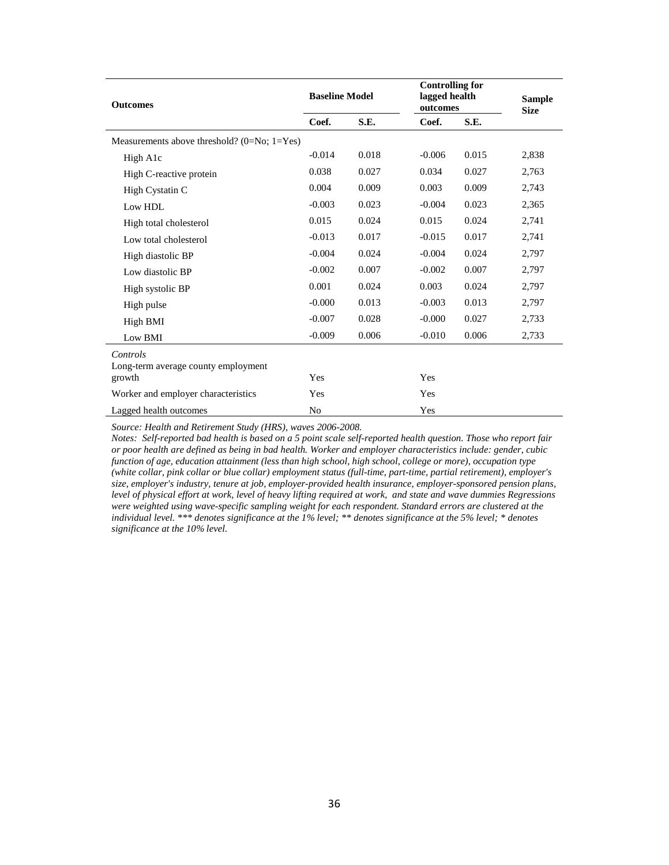| <b>Outcomes</b>                                 | <b>Baseline Model</b> |       | <b>Controlling for</b><br>lagged health<br>outcomes | <b>Sample</b><br><b>Size</b> |       |
|-------------------------------------------------|-----------------------|-------|-----------------------------------------------------|------------------------------|-------|
|                                                 | Coef.                 | S.E.  | Coef.                                               | S.E.                         |       |
| Measurements above threshold? $(0=No; 1=Yes)$   |                       |       |                                                     |                              |       |
| High A1c                                        | $-0.014$              | 0.018 | $-0.006$                                            | 0.015                        | 2,838 |
| High C-reactive protein                         | 0.038                 | 0.027 | 0.034                                               | 0.027                        | 2,763 |
| High Cystatin C                                 | 0.004                 | 0.009 | 0.003                                               | 0.009                        | 2,743 |
| Low HDL                                         | $-0.003$              | 0.023 | $-0.004$                                            | 0.023                        | 2,365 |
| High total cholesterol                          | 0.015                 | 0.024 | 0.015                                               | 0.024                        | 2,741 |
| Low total cholesterol                           | $-0.013$              | 0.017 | $-0.015$                                            | 0.017                        | 2,741 |
| High diastolic BP                               | $-0.004$              | 0.024 | $-0.004$                                            | 0.024                        | 2,797 |
| Low diastolic BP                                | $-0.002$              | 0.007 | $-0.002$                                            | 0.007                        | 2,797 |
| High systolic BP                                | 0.001                 | 0.024 | 0.003                                               | 0.024                        | 2,797 |
| High pulse                                      | $-0.000$              | 0.013 | $-0.003$                                            | 0.013                        | 2,797 |
| High BMI                                        | $-0.007$              | 0.028 | $-0.000$                                            | 0.027                        | 2,733 |
| Low BMI                                         | $-0.009$              | 0.006 | $-0.010$                                            | 0.006                        | 2,733 |
| Controls<br>Long-term average county employment |                       |       |                                                     |                              |       |
| growth                                          | Yes                   |       | Yes                                                 |                              |       |
| Worker and employer characteristics             | Yes                   |       | Yes                                                 |                              |       |
| Lagged health outcomes                          | N <sub>0</sub>        |       | Yes                                                 |                              |       |

*Source: Health and Retirement Study (HRS), waves 2006-2008.*

*Notes: Self-reported bad health is based on a 5 point scale self-reported health question. Those who report fair or poor health are defined as being in bad health. Worker and employer characteristics include: gender, cubic function of age, education attainment (less than high school, high school, college or more), occupation type (white collar, pink collar or blue collar) employment status (full-time, part-time, partial retirement), employer's size, employer's industry, tenure at job, employer-provided health insurance, employer-sponsored pension plans, level of physical effort at work, level of heavy lifting required at work, and state and wave dummies Regressions were weighted using wave-specific sampling weight for each respondent. Standard errors are clustered at the individual level. \*\*\* denotes significance at the 1% level; \*\* denotes significance at the 5% level; \* denotes significance at the 10% level.*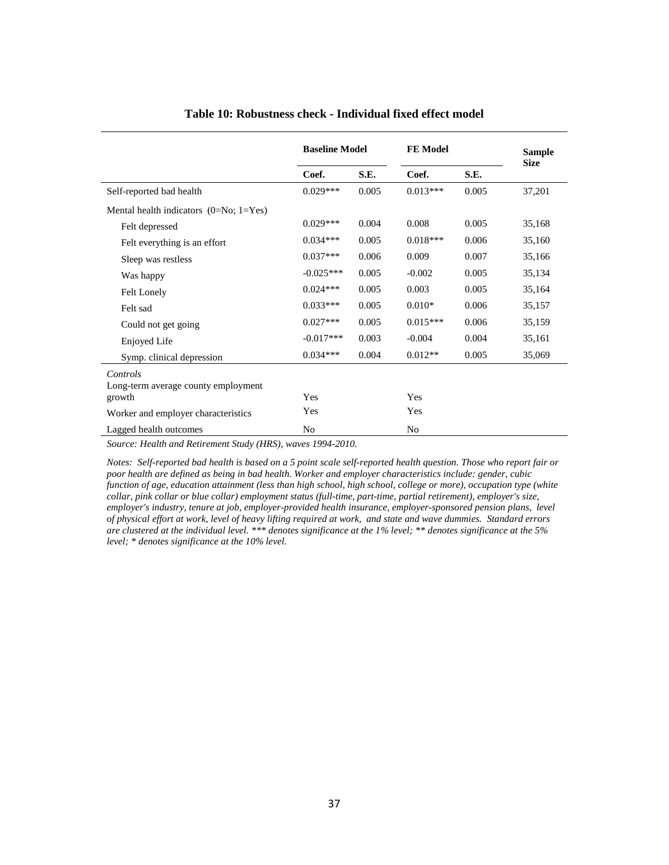<span id="page-39-0"></span>

|                                                     | <b>Baseline Model</b> |       | <b>FE</b> Model | <b>Sample</b><br><b>Size</b> |        |
|-----------------------------------------------------|-----------------------|-------|-----------------|------------------------------|--------|
|                                                     | Coef.                 | S.E.  | Coef.           | S.E.                         |        |
| Self-reported bad health                            | $0.029***$            | 0.005 | $0.013***$      | 0.005                        | 37,201 |
| Mental health indicators $(0=N_0; 1=Y_{\text{es}})$ |                       |       |                 |                              |        |
| Felt depressed                                      | $0.029***$            | 0.004 | 0.008           | 0.005                        | 35,168 |
| Felt everything is an effort                        | $0.034***$            | 0.005 | $0.018***$      | 0.006                        | 35,160 |
| Sleep was restless                                  | $0.037***$            | 0.006 | 0.009           | 0.007                        | 35,166 |
| Was happy                                           | $-0.025***$           | 0.005 | $-0.002$        | 0.005                        | 35,134 |
| Felt Lonely                                         | $0.024***$            | 0.005 | 0.003           | 0.005                        | 35,164 |
| Felt sad                                            | $0.033***$            | 0.005 | $0.010*$        | 0.006                        | 35,157 |
| Could not get going                                 | $0.027***$            | 0.005 | $0.015***$      | 0.006                        | 35,159 |
| Enjoyed Life                                        | $-0.017***$           | 0.003 | $-0.004$        | 0.004                        | 35,161 |
| Symp. clinical depression                           | $0.034***$            | 0.004 | $0.012**$       | 0.005                        | 35,069 |
| Controls<br>Long-term average county employment     |                       |       |                 |                              |        |
| growth                                              | Yes                   |       | Yes             |                              |        |
| Worker and employer characteristics                 | Yes                   |       | Yes             |                              |        |
| Lagged health outcomes                              | No                    |       | No              |                              |        |

#### **Table 10: Robustness check - Individual fixed effect model**

*Source: Health and Retirement Study (HRS), waves 1994-2010.*

*Notes: Self-reported bad health is based on a 5 point scale self-reported health question. Those who report fair or poor health are defined as being in bad health. Worker and employer characteristics include: gender, cubic function of age, education attainment (less than high school, high school, college or more), occupation type (white collar, pink collar or blue collar) employment status (full-time, part-time, partial retirement), employer's size,*  employer's industry, tenure at job, employer-provided health insurance, employer-sponsored pension plans, level *of physical effort at work, level of heavy lifting required at work, and state and wave dummies. Standard errors are clustered at the individual level. \*\*\* denotes significance at the 1% level; \*\* denotes significance at the 5% level; \* denotes significance at the 10% level.*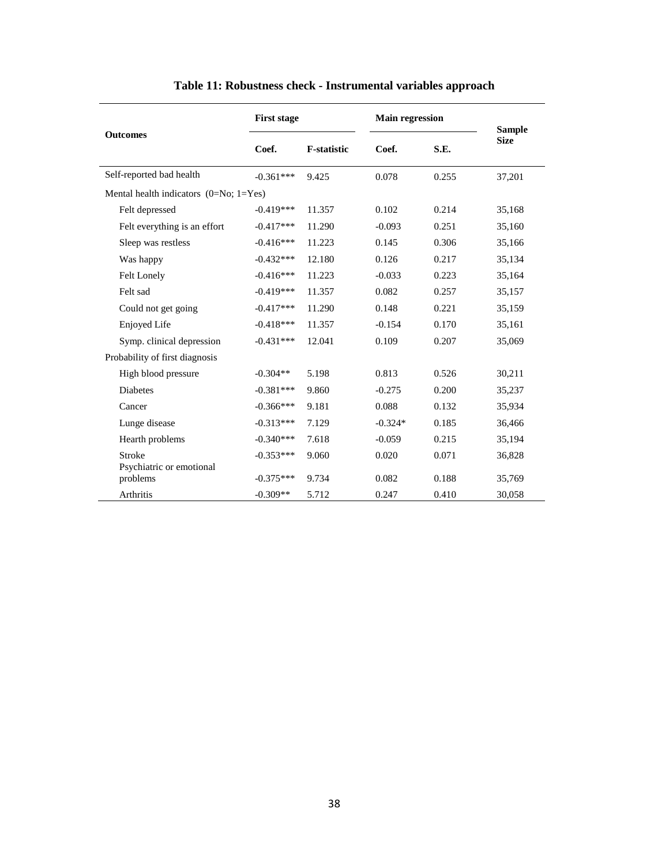<span id="page-40-0"></span>

| <b>Outcomes</b>                                       | <b>First stage</b>         |                    | <b>Main regression</b> |                | <b>Sample</b>    |
|-------------------------------------------------------|----------------------------|--------------------|------------------------|----------------|------------------|
|                                                       | Coef.                      | <b>F-statistic</b> | Coef.                  | S.E.           | <b>Size</b>      |
| Self-reported bad health                              | $-0.361***$                | 9.425              | 0.078                  | 0.255          | 37,201           |
| Mental health indicators $(0=N_0; 1=Y_e)$             |                            |                    |                        |                |                  |
| Felt depressed                                        | $-0.419***$                | 11.357             | 0.102                  | 0.214          | 35,168           |
| Felt everything is an effort                          | $-0.417***$                | 11.290             | $-0.093$               | 0.251          | 35,160           |
| Sleep was restless                                    | $-0.416***$                | 11.223             | 0.145                  | 0.306          | 35,166           |
| Was happy                                             | $-0.432***$                | 12.180             | 0.126                  | 0.217          | 35,134           |
| <b>Felt Lonely</b>                                    | $-0.416***$                | 11.223             | $-0.033$               | 0.223          | 35,164           |
| Felt sad                                              | $-0.419***$                | 11.357             | 0.082                  | 0.257          | 35,157           |
| Could not get going                                   | $-0.417***$                | 11.290             | 0.148                  | 0.221          | 35,159           |
| Enjoyed Life                                          | $-0.418***$                | 11.357             | $-0.154$               | 0.170          | 35,161           |
| Symp. clinical depression                             | $-0.431***$                | 12.041             | 0.109                  | 0.207          | 35,069           |
| Probability of first diagnosis                        |                            |                    |                        |                |                  |
| High blood pressure                                   | $-0.304**$                 | 5.198              | 0.813                  | 0.526          | 30,211           |
| <b>Diabetes</b>                                       | $-0.381***$                | 9.860              | $-0.275$               | 0.200          | 35,237           |
| Cancer                                                | $-0.366***$                | 9.181              | 0.088                  | 0.132          | 35,934           |
| Lunge disease                                         | $-0.313***$                | 7.129              | $-0.324*$              | 0.185          | 36,466           |
| Hearth problems                                       | $-0.340***$                | 7.618              | $-0.059$               | 0.215          | 35,194           |
| <b>Stroke</b><br>Psychiatric or emotional<br>problems | $-0.353***$<br>$-0.375***$ | 9.060<br>9.734     | 0.020<br>0.082         | 0.071<br>0.188 | 36,828<br>35,769 |
| Arthritis                                             | $-0.309**$                 | 5.712              | 0.247                  | 0.410          | 30,058           |

### **Table 11: Robustness check - Instrumental variables approach**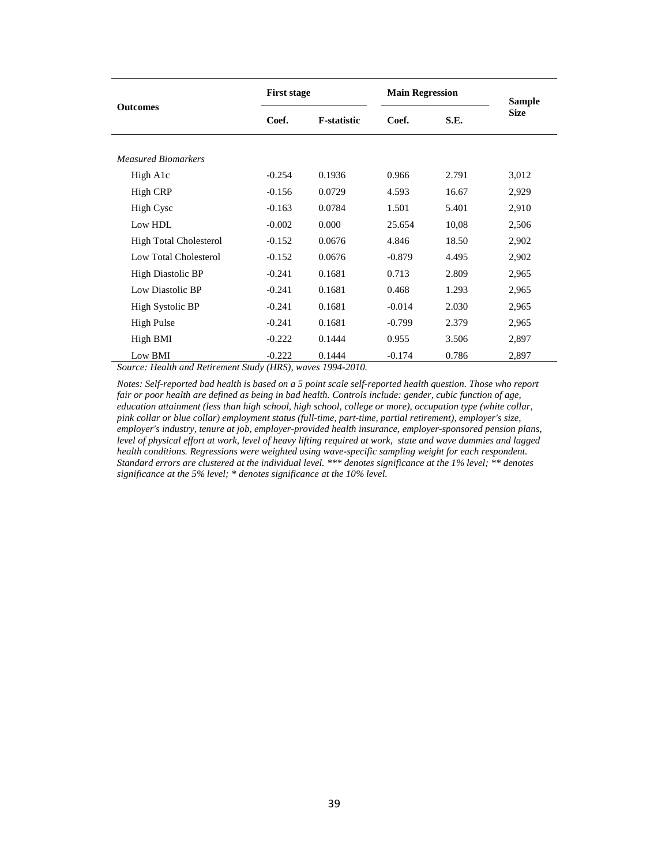| <b>Outcomes</b>               |          | <b>First stage</b> |          | <b>Main Regression</b> |                              |
|-------------------------------|----------|--------------------|----------|------------------------|------------------------------|
|                               | Coef.    | <b>F-statistic</b> | Coef.    | S.E.                   | <b>Sample</b><br><b>Size</b> |
| <b>Measured Biomarkers</b>    |          |                    |          |                        |                              |
| High A1c                      | $-0.254$ | 0.1936             | 0.966    | 2.791                  | 3,012                        |
| High CRP                      | $-0.156$ | 0.0729             | 4.593    | 16.67                  | 2,929                        |
| <b>High Cysc</b>              | $-0.163$ | 0.0784             | 1.501    | 5.401                  | 2,910                        |
| Low HDL                       | $-0.002$ | 0.000              | 25.654   | 10,08                  | 2,506                        |
| <b>High Total Cholesterol</b> | $-0.152$ | 0.0676             | 4.846    | 18.50                  | 2,902                        |
| Low Total Cholesterol         | $-0.152$ | 0.0676             | $-0.879$ | 4.495                  | 2,902                        |
| <b>High Diastolic BP</b>      | $-0.241$ | 0.1681             | 0.713    | 2.809                  | 2,965                        |
| Low Diastolic BP              | $-0.241$ | 0.1681             | 0.468    | 1.293                  | 2,965                        |
| High Systolic BP              | $-0.241$ | 0.1681             | $-0.014$ | 2.030                  | 2,965                        |
| High Pulse                    | $-0.241$ | 0.1681             | $-0.799$ | 2.379                  | 2,965                        |
| High BMI                      | $-0.222$ | 0.1444             | 0.955    | 3.506                  | 2,897                        |
| Low BMI                       | $-0.222$ | 0.1444             | $-0.174$ | 0.786                  | 2,897                        |

*Source: Health and Retirement Study (HRS), waves 1994-2010.*

*Notes: Self-reported bad health is based on a 5 point scale self-reported health question. Those who report fair or poor health are defined as being in bad health. Controls include: gender, cubic function of age, education attainment (less than high school, high school, college or more), occupation type (white collar, pink collar or blue collar) employment status (full-time, part-time, partial retirement), employer's size, employer's industry, tenure at job, employer-provided health insurance, employer-sponsored pension plans, level of physical effort at work, level of heavy lifting required at work, state and wave dummies and lagged health conditions. Regressions were weighted using wave-specific sampling weight for each respondent. Standard errors are clustered at the individual level. \*\*\* denotes significance at the 1% level; \*\* denotes significance at the 5% level; \* denotes significance at the 10% level.*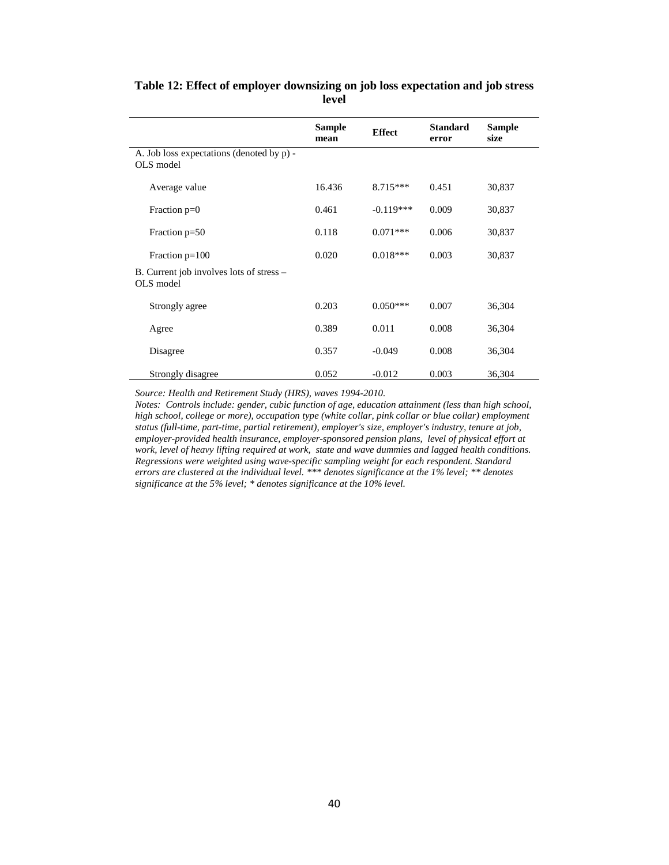|                                                        | <b>Sample</b><br>mean | <b>Effect</b> | <b>Standard</b><br>error | <b>Sample</b><br>size |
|--------------------------------------------------------|-----------------------|---------------|--------------------------|-----------------------|
| A. Job loss expectations (denoted by p) -<br>OLS model |                       |               |                          |                       |
| Average value                                          | 16.436                | $8.715***$    | 0.451                    | 30,837                |
| Fraction $p=0$                                         | 0.461                 | $-0.119***$   | 0.009                    | 30,837                |
| Fraction $p=50$                                        | 0.118                 | $0.071***$    | 0.006                    | 30,837                |
| Fraction $p=100$                                       | 0.020                 | $0.018***$    | 0.003                    | 30,837                |
| B. Current job involves lots of stress –<br>OLS model  |                       |               |                          |                       |
| Strongly agree                                         | 0.203                 | $0.050***$    | 0.007                    | 36,304                |
| Agree                                                  | 0.389                 | 0.011         | 0.008                    | 36,304                |
| Disagree                                               | 0.357                 | $-0.049$      | 0.008                    | 36,304                |
| Strongly disagree                                      | 0.052                 | $-0.012$      | 0.003                    | 36,304                |

#### <span id="page-42-0"></span>**Table 12: Effect of employer downsizing on job loss expectation and job stress level**

*Source: Health and Retirement Study (HRS), waves 1994-2010.*

*Notes: Controls include: gender, cubic function of age, education attainment (less than high school, high school, college or more), occupation type (white collar, pink collar or blue collar) employment status (full-time, part-time, partial retirement), employer's size, employer's industry, tenure at job, employer-provided health insurance, employer-sponsored pension plans, level of physical effort at work, level of heavy lifting required at work, state and wave dummies and lagged health conditions. Regressions were weighted using wave-specific sampling weight for each respondent. Standard errors are clustered at the individual level. \*\*\* denotes significance at the 1% level; \*\* denotes significance at the 5% level; \* denotes significance at the 10% level.*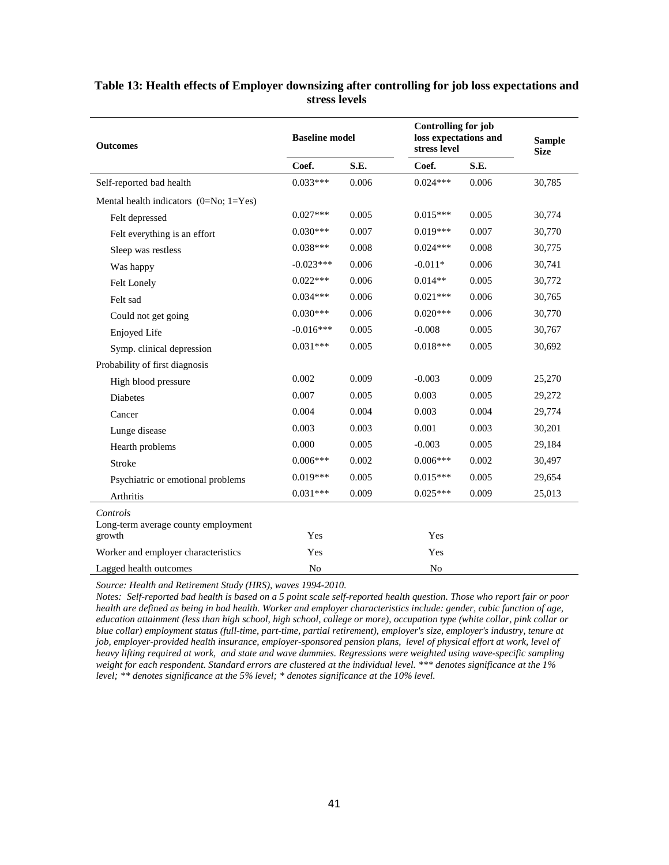| <b>Outcomes</b>                               | <b>Baseline model</b> |       | <b>Controlling for job</b><br>loss expectations and<br>stress level |       | <b>Sample</b><br><b>Size</b> |
|-----------------------------------------------|-----------------------|-------|---------------------------------------------------------------------|-------|------------------------------|
|                                               | Coef.                 | S.E.  | Coef.                                                               | S.E.  |                              |
| Self-reported bad health                      | $0.033***$            | 0.006 | $0.024***$                                                          | 0.006 | 30,785                       |
| Mental health indicators $(0=N_0; 1=Y_{es})$  |                       |       |                                                                     |       |                              |
| Felt depressed                                | $0.027***$            | 0.005 | $0.015***$                                                          | 0.005 | 30,774                       |
| Felt everything is an effort                  | $0.030***$            | 0.007 | $0.019***$                                                          | 0.007 | 30,770                       |
| Sleep was restless                            | $0.038***$            | 0.008 | $0.024***$                                                          | 0.008 | 30,775                       |
| Was happy                                     | $-0.023***$           | 0.006 | $-0.011*$                                                           | 0.006 | 30,741                       |
| Felt Lonely                                   | $0.022***$            | 0.006 | $0.014**$                                                           | 0.005 | 30,772                       |
| Felt sad                                      | $0.034***$            | 0.006 | $0.021***$                                                          | 0.006 | 30,765                       |
| Could not get going                           | $0.030***$            | 0.006 | $0.020***$                                                          | 0.006 | 30,770                       |
| Enjoyed Life                                  | $-0.016***$           | 0.005 | $-0.008$                                                            | 0.005 | 30,767                       |
| Symp. clinical depression                     | $0.031***$            | 0.005 | $0.018***$                                                          | 0.005 | 30,692                       |
| Probability of first diagnosis                |                       |       |                                                                     |       |                              |
| High blood pressure                           | 0.002                 | 0.009 | $-0.003$                                                            | 0.009 | 25,270                       |
| <b>Diabetes</b>                               | 0.007                 | 0.005 | 0.003                                                               | 0.005 | 29,272                       |
| Cancer                                        | 0.004                 | 0.004 | 0.003                                                               | 0.004 | 29,774                       |
| Lunge disease                                 | 0.003                 | 0.003 | 0.001                                                               | 0.003 | 30,201                       |
| Hearth problems                               | 0.000                 | 0.005 | $-0.003$                                                            | 0.005 | 29,184                       |
| Stroke                                        | $0.006***$            | 0.002 | $0.006***$                                                          | 0.002 | 30,497                       |
| Psychiatric or emotional problems             | $0.019***$            | 0.005 | $0.015***$                                                          | 0.005 | 29,654                       |
| Arthritis                                     | $0.031***$            | 0.009 | $0.025***$                                                          | 0.009 | 25,013                       |
| Controls                                      |                       |       |                                                                     |       |                              |
| Long-term average county employment<br>growth | Yes                   |       | Yes                                                                 |       |                              |
| Worker and employer characteristics           | Yes                   |       | Yes                                                                 |       |                              |
| Lagged health outcomes                        | N <sub>o</sub>        |       | N <sub>o</sub>                                                      |       |                              |

#### <span id="page-43-0"></span>**Table 13: Health effects of Employer downsizing after controlling for job loss expectations and stress levels**

*Source: Health and Retirement Study (HRS), waves 1994-2010.*

*Notes: Self-reported bad health is based on a 5 point scale self-reported health question. Those who report fair or poor health are defined as being in bad health. Worker and employer characteristics include: gender, cubic function of age, education attainment (less than high school, high school, college or more), occupation type (white collar, pink collar or blue collar) employment status (full-time, part-time, partial retirement), employer's size, employer's industry, tenure at job, employer-provided health insurance, employer-sponsored pension plans, level of physical effort at work, level of heavy lifting required at work, and state and wave dummies. Regressions were weighted using wave-specific sampling weight for each respondent. Standard errors are clustered at the individual level. \*\*\* denotes significance at the 1% level; \*\* denotes significance at the 5% level; \* denotes significance at the 10% level.*